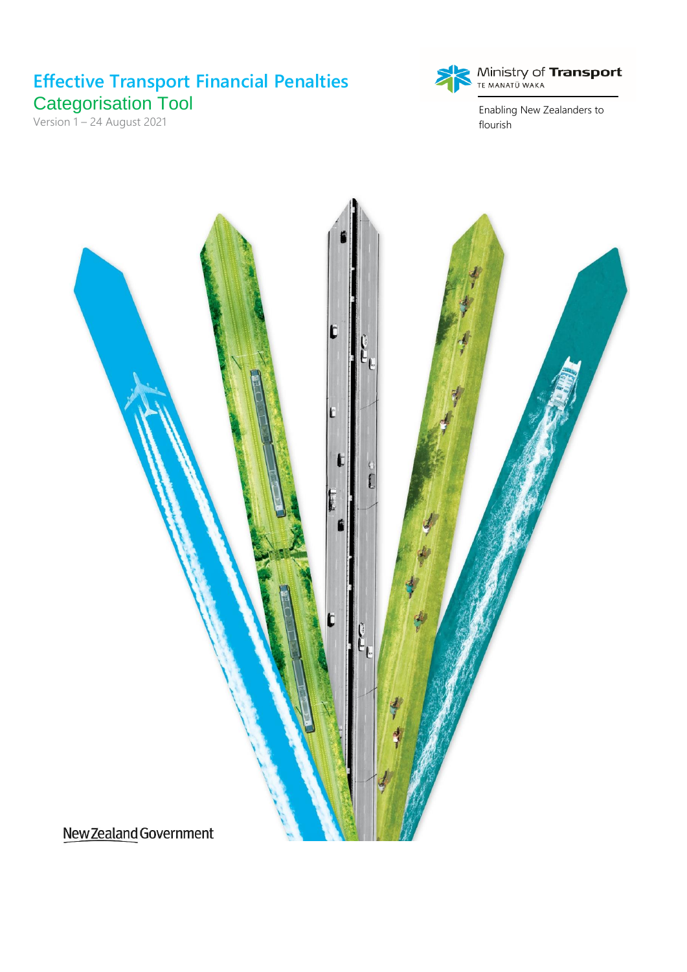# **Effective Transport Financial Penalties** Categorisation Tool

Version 1 - 24 August 2021



 $\begin{array}{c} \text{Ministry of \textbf{Transformer} } \\ \text{TE MANATÜ WAKA} \end{array}$ 

Enabling New Zealanders to flourish

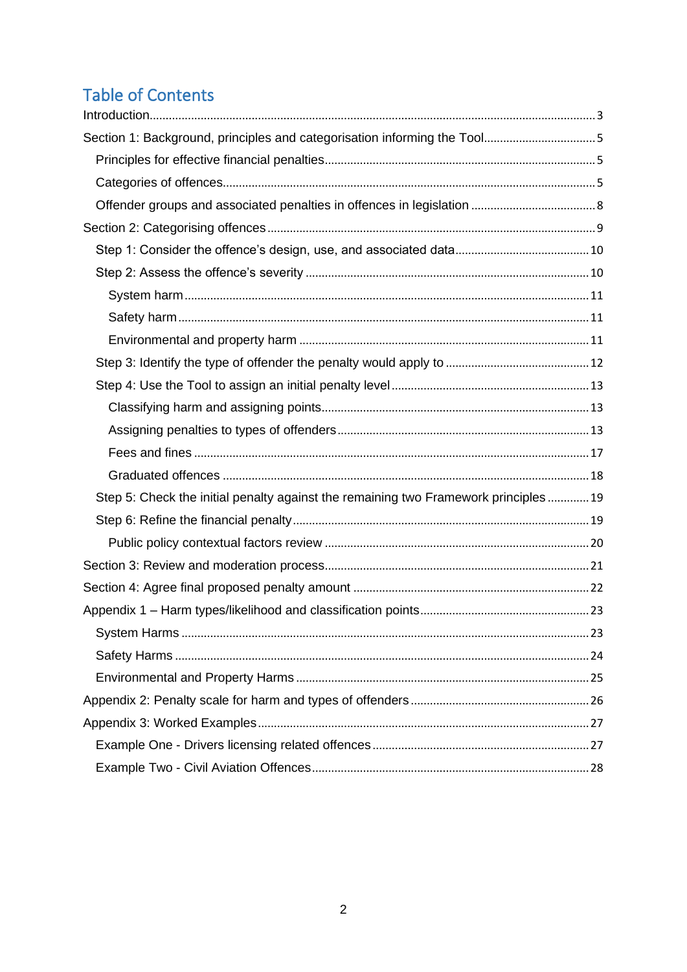# **Table of Contents**

| Section 1: Background, principles and categorisation informing the Tool5            |  |
|-------------------------------------------------------------------------------------|--|
|                                                                                     |  |
|                                                                                     |  |
|                                                                                     |  |
|                                                                                     |  |
|                                                                                     |  |
|                                                                                     |  |
|                                                                                     |  |
|                                                                                     |  |
|                                                                                     |  |
|                                                                                     |  |
|                                                                                     |  |
|                                                                                     |  |
|                                                                                     |  |
|                                                                                     |  |
|                                                                                     |  |
| Step 5: Check the initial penalty against the remaining two Framework principles 19 |  |
|                                                                                     |  |
|                                                                                     |  |
|                                                                                     |  |
|                                                                                     |  |
|                                                                                     |  |
|                                                                                     |  |
|                                                                                     |  |
|                                                                                     |  |
|                                                                                     |  |
|                                                                                     |  |
|                                                                                     |  |
|                                                                                     |  |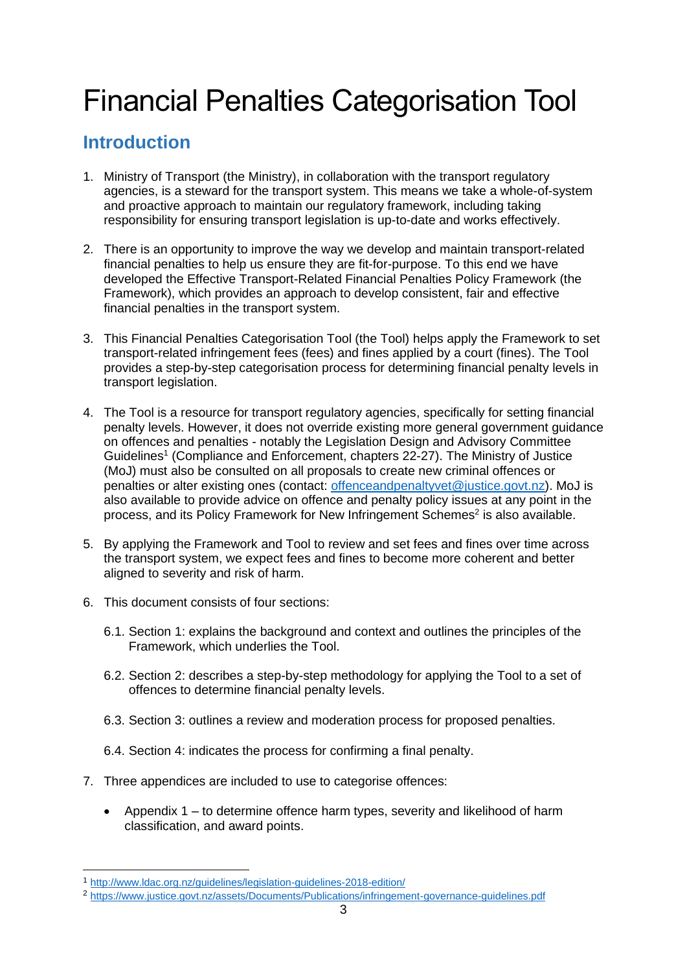# Financial Penalties Categorisation Tool

# <span id="page-2-0"></span>**Introduction**

- 1. Ministry of Transport (the Ministry), in collaboration with the transport regulatory agencies, is a steward for the transport system. This means we take a whole-of-system and proactive approach to maintain our regulatory framework, including taking responsibility for ensuring transport legislation is up-to-date and works effectively.
- 2. There is an opportunity to improve the way we develop and maintain transport-related financial penalties to help us ensure they are fit-for-purpose. To this end we have developed the Effective Transport-Related Financial Penalties Policy Framework (the Framework), which provides an approach to develop consistent, fair and effective financial penalties in the transport system.
- 3. This Financial Penalties Categorisation Tool (the Tool) helps apply the Framework to set transport-related infringement fees (fees) and fines applied by a court (fines). The Tool provides a step-by-step categorisation process for determining financial penalty levels in transport legislation.
- 4. The Tool is a resource for transport regulatory agencies, specifically for setting financial penalty levels. However, it does not override existing more general government guidance on offences and penalties - notably the Legislation Design and Advisory Committee Guidelines<sup>1</sup> (Compliance and Enforcement, chapters 22-27). The Ministry of Justice (MoJ) must also be consulted on all proposals to create new criminal offences or penalties or alter existing ones (contact: [offenceandpenaltyvet@justice.govt.nz\)](mailto:offenceandpenaltyvet@justice.govt.nz). MoJ is also available to provide advice on offence and penalty policy issues at any point in the process, and its Policy Framework for New Infringement Schemes<sup>2</sup> is also available.
- 5. By applying the Framework and Tool to review and set fees and fines over time across the transport system, we expect fees and fines to become more coherent and better aligned to severity and risk of harm.
- 6. This document consists of four sections:
	- 6.1. Section 1: explains the background and context and outlines the principles of the Framework, which underlies the Tool.
	- 6.2. Section 2: describes a step-by-step methodology for applying the Tool to a set of offences to determine financial penalty levels.
	- 6.3. Section 3: outlines a review and moderation process for proposed penalties.
	- 6.4. Section 4: indicates the process for confirming a final penalty.
- 7. Three appendices are included to use to categorise offences:
	- Appendix 1 to determine offence harm types, severity and likelihood of harm classification, and award points.

<sup>1</sup> <http://www.ldac.org.nz/guidelines/legislation-guidelines-2018-edition/>

<sup>2</sup> <https://www.justice.govt.nz/assets/Documents/Publications/infringement-governance-guidelines.pdf>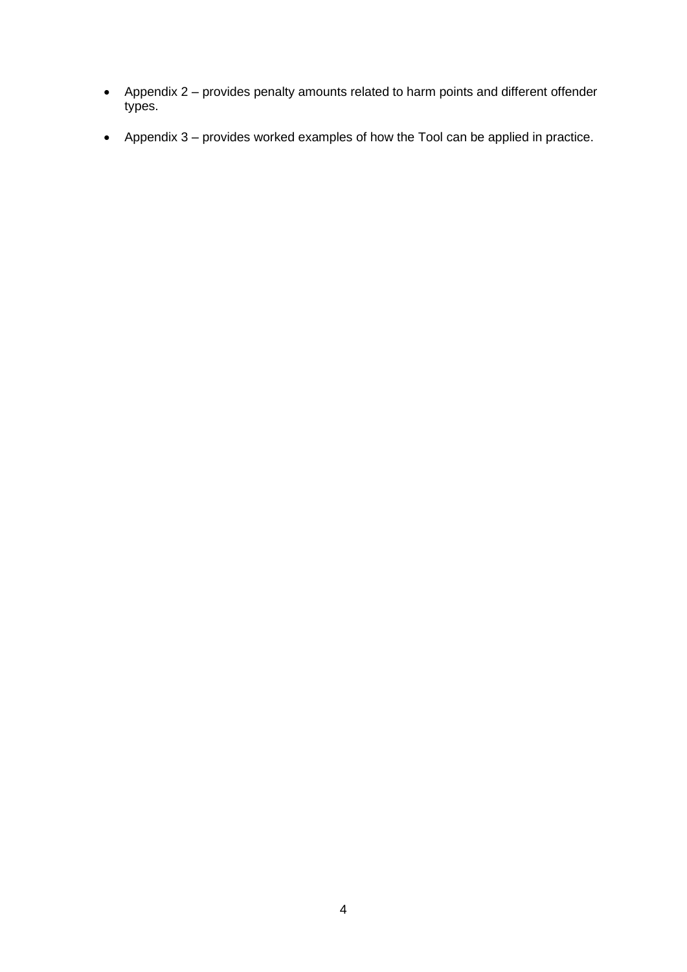- Appendix 2 provides penalty amounts related to harm points and different offender types.
- Appendix 3 provides worked examples of how the Tool can be applied in practice.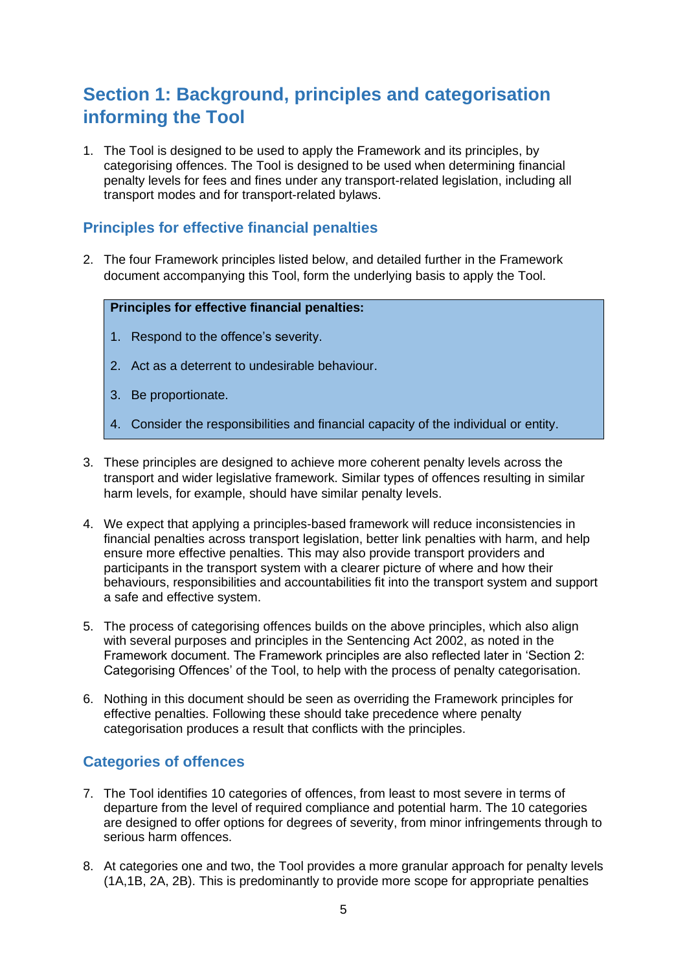# <span id="page-4-0"></span>**Section 1: Background, principles and categorisation informing the Tool**

1. The Tool is designed to be used to apply the Framework and its principles, by categorising offences. The Tool is designed to be used when determining financial penalty levels for fees and fines under any transport-related legislation, including all transport modes and for transport-related bylaws.

### <span id="page-4-1"></span>**Principles for effective financial penalties**

2. The four Framework principles listed below, and detailed further in the Framework document accompanying this Tool, form the underlying basis to apply the Tool.

#### **Principles for effective financial penalties:**

- 1. Respond to the offence's severity.
- 2. Act as a deterrent to undesirable behaviour.
- 3. Be proportionate.
- 4. Consider the responsibilities and financial capacity of the individual or entity.
- 3. These principles are designed to achieve more coherent penalty levels across the transport and wider legislative framework. Similar types of offences resulting in similar harm levels, for example, should have similar penalty levels.
- 4. We expect that applying a principles-based framework will reduce inconsistencies in financial penalties across transport legislation, better link penalties with harm, and help ensure more effective penalties. This may also provide transport providers and participants in the transport system with a clearer picture of where and how their behaviours, responsibilities and accountabilities fit into the transport system and support a safe and effective system.
- 5. The process of categorising offences builds on the above principles, which also align with several purposes and principles in the Sentencing Act 2002, as noted in the Framework document. The Framework principles are also reflected later in 'Section 2: Categorising Offences' of the Tool, to help with the process of penalty categorisation.
- 6. Nothing in this document should be seen as overriding the Framework principles for effective penalties. Following these should take precedence where penalty categorisation produces a result that conflicts with the principles.

### <span id="page-4-2"></span>**Categories of offences**

- 7. The Tool identifies 10 categories of offences, from least to most severe in terms of departure from the level of required compliance and potential harm. The 10 categories are designed to offer options for degrees of severity, from minor infringements through to serious harm offences.
- 8. At categories one and two, the Tool provides a more granular approach for penalty levels (1A,1B, 2A, 2B). This is predominantly to provide more scope for appropriate penalties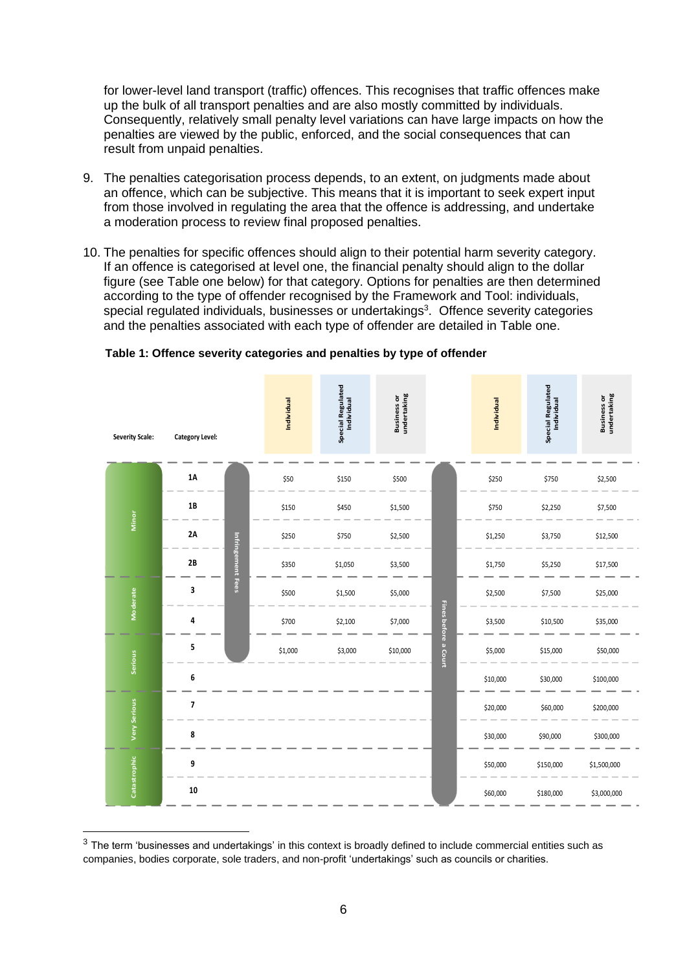for lower-level land transport (traffic) offences. This recognises that traffic offences make up the bulk of all transport penalties and are also mostly committed by individuals. Consequently, relatively small penalty level variations can have large impacts on how the penalties are viewed by the public, enforced, and the social consequences that can result from unpaid penalties.

- 9. The penalties categorisation process depends, to an extent, on judgments made about an offence, which can be subjective. This means that it is important to seek expert input from those involved in regulating the area that the offence is addressing, and undertake a moderation process to review final proposed penalties.
- 10. The penalties for specific offences should align to their potential harm severity category. If an offence is categorised at level one, the financial penalty should align to the dollar figure (see Table one below) for that category. Options for penalties are then determined according to the type of offender recognised by the Framework and Tool: individuals, special regulated individuals, businesses or undertakings<sup>3</sup>. Offence severity categories and the penalties associated with each type of offender are detailed in Table one.

| <b>Severity Scale:</b> | <b>Category Level:</b>    | Individual | Special Regulated<br>Individual | <b>Business or<br/>undertaking</b> |                      | Individual | Special Regulated<br>Individual | <b>Business or<br/>undertaking</b> |
|------------------------|---------------------------|------------|---------------------------------|------------------------------------|----------------------|------------|---------------------------------|------------------------------------|
|                        | $1\text{\AA}$             | \$50       | \$150                           | \$500                              |                      | \$250      | \$750                           | \$2,500                            |
|                        | $1B$                      | \$150      | \$450                           | \$1,500                            |                      | \$750      | \$2,250                         | \$7,500                            |
| Minor                  | $2A$                      | \$250      | \$750                           | \$2,500                            |                      | \$1,250    | \$3,750                         | \$12,500                           |
|                        | Infringement Fees<br>$2B$ | \$350      | \$1,050                         | \$3,500                            |                      | \$1,750    | \$5,250                         | \$17,500                           |
| Moderate               | 3                         | \$500      | \$1,500                         | \$5,000                            |                      | \$2,500    | \$7,500                         | \$25,000                           |
|                        | 4                         | \$700      | \$2,100                         | \$7,000                            | Fines before a Court | \$3,500    | \$10,500                        | \$35,000                           |
| Serious                | 5                         | \$1,000    | \$3,000                         | \$10,000                           |                      | \$5,000    | \$15,000                        | \$50,000                           |
|                        | 6                         |            |                                 |                                    |                      | \$10,000   | \$30,000                        | \$100,000                          |
| <b>Very Serious</b>    | $\overline{\mathbf{z}}$   |            |                                 |                                    |                      | \$20,000   | \$60,000                        | \$200,000                          |
|                        | 8                         |            |                                 |                                    |                      | \$30,000   | \$90,000                        | \$300,000                          |
| Catastrophic           | 9                         |            |                                 |                                    |                      | \$50,000   | \$150,000                       | \$1,500,000                        |
|                        | 10                        |            |                                 |                                    |                      | \$60,000   | \$180,000                       | \$3,000,000                        |

#### **Table 1: Offence severity categories and penalties by type of offender**

 $3$  The term 'businesses and undertakings' in this context is broadly defined to include commercial entities such as companies, bodies corporate, sole traders, and non-profit 'undertakings' such as councils or charities.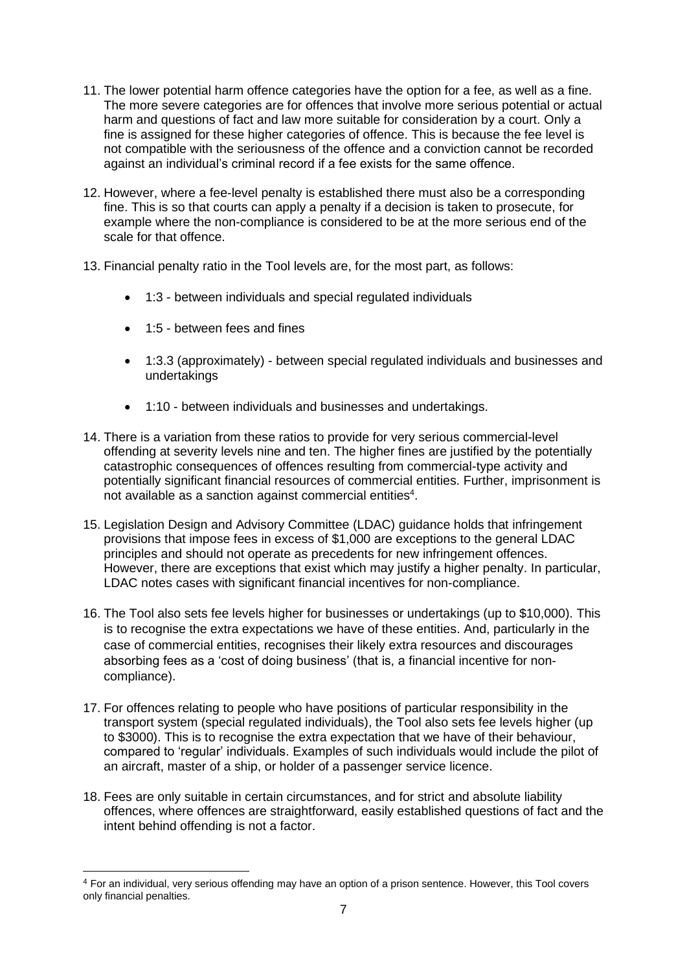- 11. The lower potential harm offence categories have the option for a fee, as well as a fine. The more severe categories are for offences that involve more serious potential or actual harm and questions of fact and law more suitable for consideration by a court. Only a fine is assigned for these higher categories of offence. This is because the fee level is not compatible with the seriousness of the offence and a conviction cannot be recorded against an individual's criminal record if a fee exists for the same offence.
- 12. However, where a fee-level penalty is established there must also be a corresponding fine. This is so that courts can apply a penalty if a decision is taken to prosecute, for example where the non-compliance is considered to be at the more serious end of the scale for that offence.
- 13. Financial penalty ratio in the Tool levels are, for the most part, as follows:
	- 1:3 between individuals and special regulated individuals
	- 1:5 between fees and fines
	- 1:3.3 (approximately) between special regulated individuals and businesses and undertakings
	- 1:10 between individuals and businesses and undertakings.
- 14. There is a variation from these ratios to provide for very serious commercial-level offending at severity levels nine and ten. The higher fines are justified by the potentially catastrophic consequences of offences resulting from commercial-type activity and potentially significant financial resources of commercial entities. Further, imprisonment is not available as a sanction against commercial entities<sup>4</sup>.
- 15. Legislation Design and Advisory Committee (LDAC) guidance holds that infringement provisions that impose fees in excess of \$1,000 are exceptions to the general LDAC principles and should not operate as precedents for new infringement offences. However, there are exceptions that exist which may justify a higher penalty. In particular, LDAC notes cases with significant financial incentives for non-compliance.
- 16. The Tool also sets fee levels higher for businesses or undertakings (up to \$10,000). This is to recognise the extra expectations we have of these entities. And, particularly in the case of commercial entities, recognises their likely extra resources and discourages absorbing fees as a 'cost of doing business' (that is, a financial incentive for noncompliance).
- 17. For offences relating to people who have positions of particular responsibility in the transport system (special regulated individuals), the Tool also sets fee levels higher (up to \$3000). This is to recognise the extra expectation that we have of their behaviour, compared to 'regular' individuals. Examples of such individuals would include the pilot of an aircraft, master of a ship, or holder of a passenger service licence.
- 18. Fees are only suitable in certain circumstances, and for strict and absolute liability offences, where offences are straightforward, easily established questions of fact and the intent behind offending is not a factor.

<sup>4</sup> For an individual, very serious offending may have an option of a prison sentence. However, this Tool covers only financial penalties.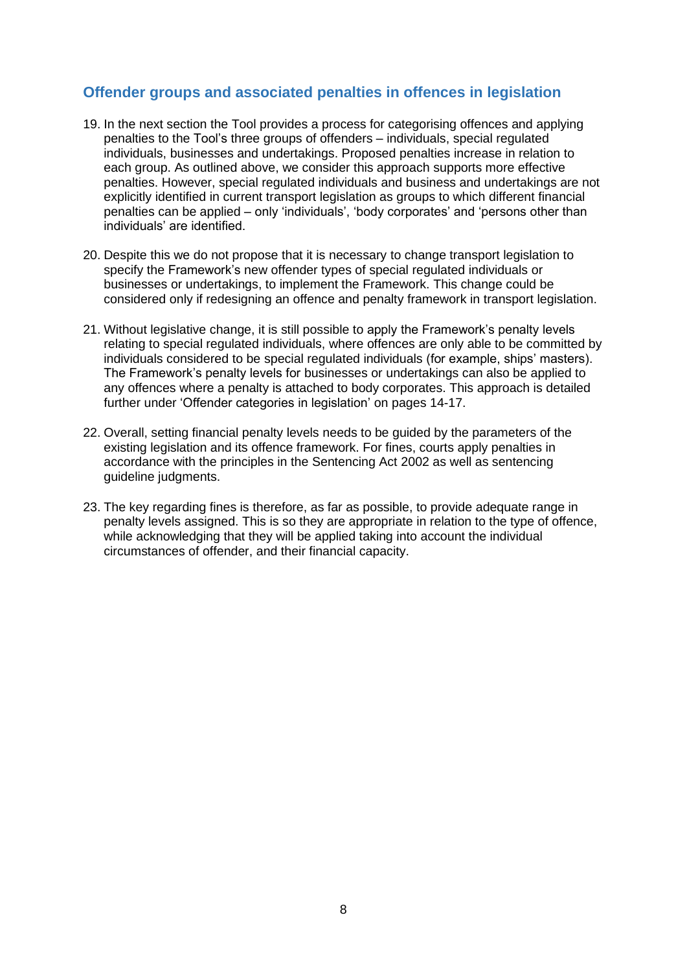### <span id="page-7-0"></span>**Offender groups and associated penalties in offences in legislation**

- 19. In the next section the Tool provides a process for categorising offences and applying penalties to the Tool's three groups of offenders – individuals, special regulated individuals, businesses and undertakings. Proposed penalties increase in relation to each group. As outlined above, we consider this approach supports more effective penalties. However, special regulated individuals and business and undertakings are not explicitly identified in current transport legislation as groups to which different financial penalties can be applied – only 'individuals', 'body corporates' and 'persons other than individuals' are identified.
- 20. Despite this we do not propose that it is necessary to change transport legislation to specify the Framework's new offender types of special regulated individuals or businesses or undertakings, to implement the Framework. This change could be considered only if redesigning an offence and penalty framework in transport legislation.
- 21. Without legislative change, it is still possible to apply the Framework's penalty levels relating to special regulated individuals, where offences are only able to be committed by individuals considered to be special regulated individuals (for example, ships' masters). The Framework's penalty levels for businesses or undertakings can also be applied to any offences where a penalty is attached to body corporates. This approach is detailed further under 'Offender categories in legislation' on pages 14-17.
- 22. Overall, setting financial penalty levels needs to be guided by the parameters of the existing legislation and its offence framework. For fines, courts apply penalties in accordance with the principles in the Sentencing Act 2002 as well as sentencing guideline judgments.
- 23. The key regarding fines is therefore, as far as possible, to provide adequate range in penalty levels assigned. This is so they are appropriate in relation to the type of offence, while acknowledging that they will be applied taking into account the individual circumstances of offender, and their financial capacity.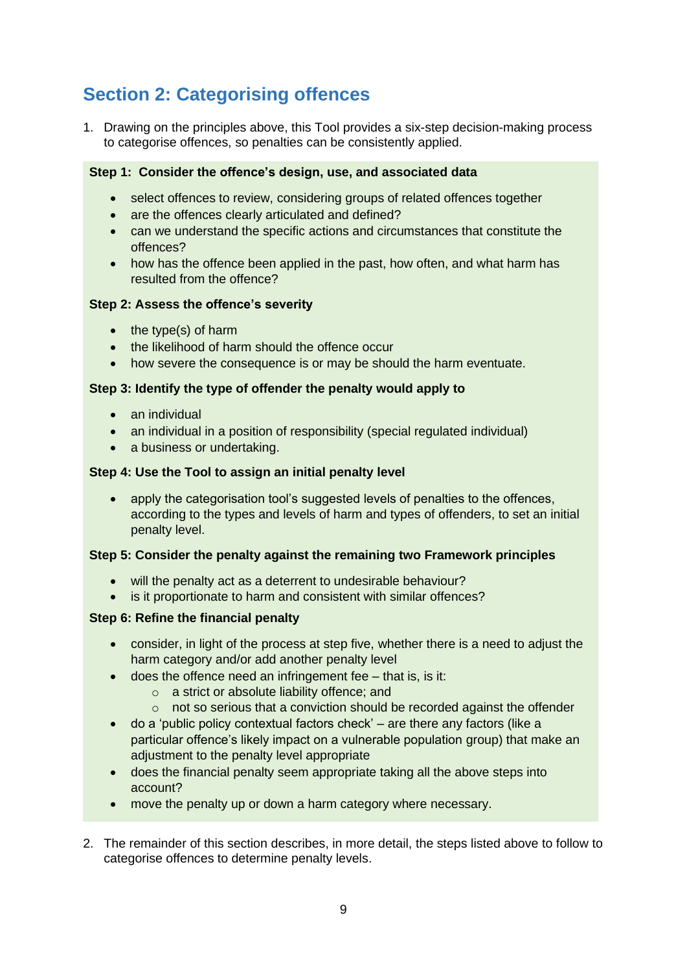# <span id="page-8-0"></span>**Section 2: Categorising offences**

1. Drawing on the principles above, this Tool provides a six-step decision-making process to categorise offences, so penalties can be consistently applied.

#### **Step 1: Consider the offence's design, use, and associated data**

- select offences to review, considering groups of related offences together
- are the offences clearly articulated and defined?
- can we understand the specific actions and circumstances that constitute the offences?
- how has the offence been applied in the past, how often, and what harm has resulted from the offence?

#### **Step 2: Assess the offence's severity**

- the type(s) of harm
- the likelihood of harm should the offence occur
- how severe the consequence is or may be should the harm eventuate.

#### **Step 3: Identify the type of offender the penalty would apply to**

- an individual
- an individual in a position of responsibility (special regulated individual)
- a business or undertaking.

#### **Step 4: Use the Tool to assign an initial penalty level**

• apply the categorisation tool's suggested levels of penalties to the offences, according to the types and levels of harm and types of offenders, to set an initial penalty level.

#### **Step 5: Consider the penalty against the remaining two Framework principles**

- will the penalty act as a deterrent to undesirable behaviour?
- is it proportionate to harm and consistent with similar offences?

#### **Step 6: Refine the financial penalty**

- consider, in light of the process at step five, whether there is a need to adjust the harm category and/or add another penalty level
- does the offence need an infringement fee that is, is it:
	- o a strict or absolute liability offence; and
	- $\circ$  not so serious that a conviction should be recorded against the offender
- do a 'public policy contextual factors check' are there any factors (like a particular offence's likely impact on a vulnerable population group) that make an adjustment to the penalty level appropriate
- does the financial penalty seem appropriate taking all the above steps into account?
- move the penalty up or down a harm category where necessary.
- 2. The remainder of this section describes, in more detail, the steps listed above to follow to categorise offences to determine penalty levels.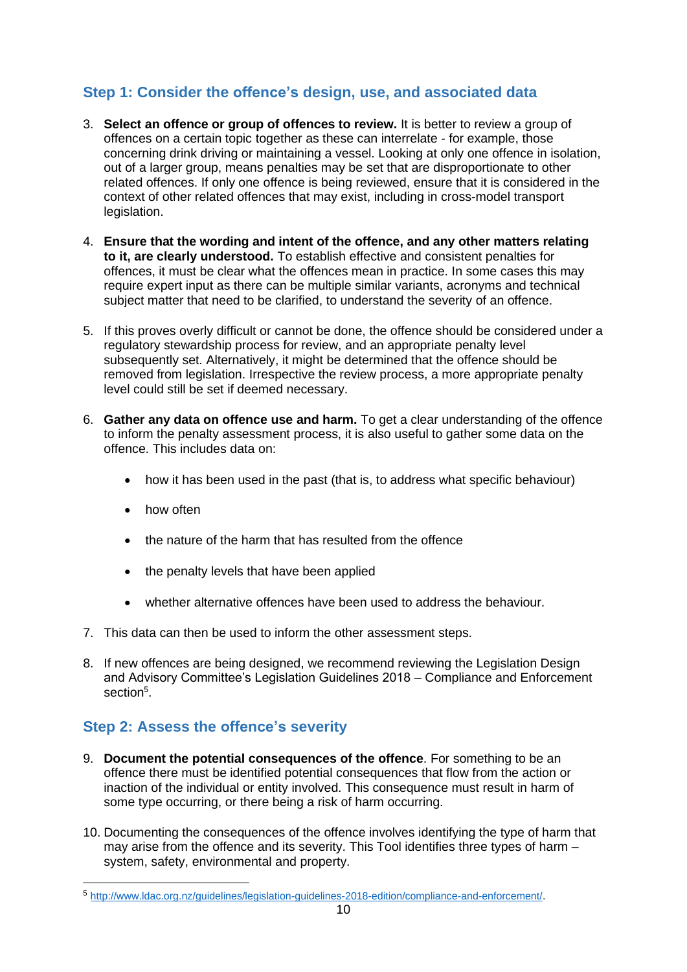# <span id="page-9-0"></span>**Step 1: Consider the offence's design, use, and associated data**

- 3. **Select an offence or group of offences to review.** It is better to review a group of offences on a certain topic together as these can interrelate - for example, those concerning drink driving or maintaining a vessel. Looking at only one offence in isolation, out of a larger group, means penalties may be set that are disproportionate to other related offences. If only one offence is being reviewed, ensure that it is considered in the context of other related offences that may exist, including in cross-model transport legislation.
- 4. **Ensure that the wording and intent of the offence, and any other matters relating to it, are clearly understood.** To establish effective and consistent penalties for offences, it must be clear what the offences mean in practice. In some cases this may require expert input as there can be multiple similar variants, acronyms and technical subject matter that need to be clarified, to understand the severity of an offence.
- 5. If this proves overly difficult or cannot be done, the offence should be considered under a regulatory stewardship process for review, and an appropriate penalty level subsequently set. Alternatively, it might be determined that the offence should be removed from legislation. Irrespective the review process, a more appropriate penalty level could still be set if deemed necessary.
- 6. **Gather any data on offence use and harm.** To get a clear understanding of the offence to inform the penalty assessment process, it is also useful to gather some data on the offence. This includes data on:
	- how it has been used in the past (that is, to address what specific behaviour)
	- how often
	- the nature of the harm that has resulted from the offence
	- the penalty levels that have been applied
	- whether alternative offences have been used to address the behaviour.
- 7. This data can then be used to inform the other assessment steps.
- 8. If new offences are being designed, we recommend reviewing the Legislation Design and Advisory Committee's Legislation Guidelines 2018 – Compliance and Enforcement section<sup>5</sup>.

# <span id="page-9-1"></span>**Step 2: Assess the offence's severity**

- 9. **Document the potential consequences of the offence**. For something to be an offence there must be identified potential consequences that flow from the action or inaction of the individual or entity involved. This consequence must result in harm of some type occurring, or there being a risk of harm occurring.
- 10. Documenting the consequences of the offence involves identifying the type of harm that may arise from the offence and its severity. This Tool identifies three types of harm – system, safety, environmental and property.

<sup>5</sup> [http://www.ldac.org.nz/guidelines/legislation-guidelines-2018-edition/compliance-and-enforcement/.](http://www.ldac.org.nz/guidelines/legislation-guidelines-2018-edition/compliance-and-enforcement/)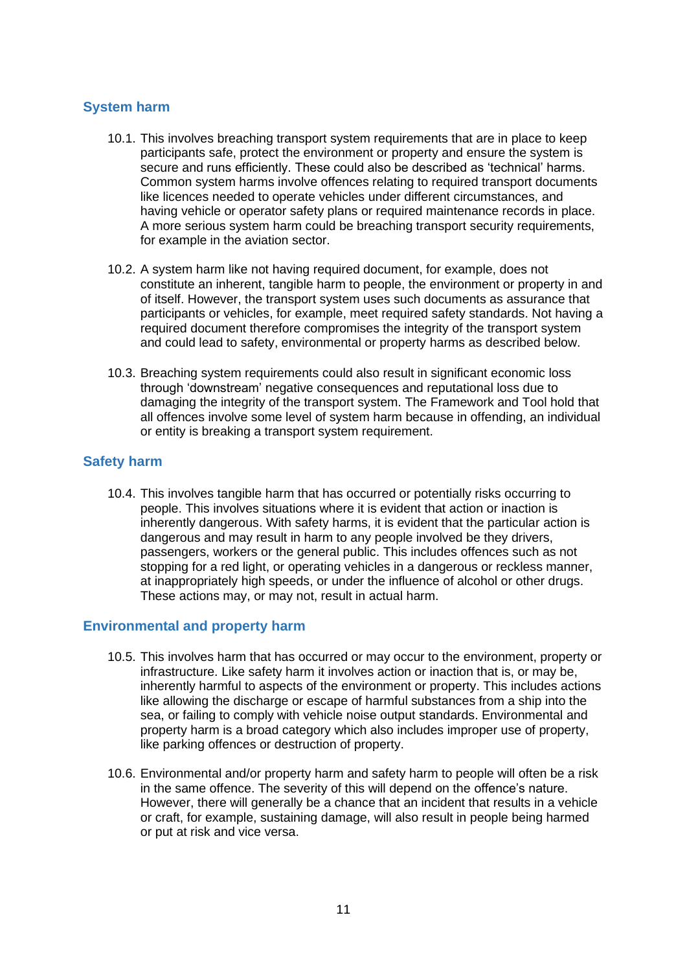#### <span id="page-10-0"></span>**System harm**

- 10.1. This involves breaching transport system requirements that are in place to keep participants safe, protect the environment or property and ensure the system is secure and runs efficiently. These could also be described as 'technical' harms. Common system harms involve offences relating to required transport documents like licences needed to operate vehicles under different circumstances, and having vehicle or operator safety plans or required maintenance records in place. A more serious system harm could be breaching transport security requirements, for example in the aviation sector.
- 10.2. A system harm like not having required document, for example, does not constitute an inherent, tangible harm to people, the environment or property in and of itself. However, the transport system uses such documents as assurance that participants or vehicles, for example, meet required safety standards. Not having a required document therefore compromises the integrity of the transport system and could lead to safety, environmental or property harms as described below.
- 10.3. Breaching system requirements could also result in significant economic loss through 'downstream' negative consequences and reputational loss due to damaging the integrity of the transport system. The Framework and Tool hold that all offences involve some level of system harm because in offending, an individual or entity is breaking a transport system requirement.

#### <span id="page-10-1"></span>**Safety harm**

10.4. This involves tangible harm that has occurred or potentially risks occurring to people. This involves situations where it is evident that action or inaction is inherently dangerous. With safety harms, it is evident that the particular action is dangerous and may result in harm to any people involved be they drivers, passengers, workers or the general public. This includes offences such as not stopping for a red light, or operating vehicles in a dangerous or reckless manner, at inappropriately high speeds, or under the influence of alcohol or other drugs. These actions may, or may not, result in actual harm.

#### <span id="page-10-2"></span>**Environmental and property harm**

- 10.5. This involves harm that has occurred or may occur to the environment, property or infrastructure. Like safety harm it involves action or inaction that is, or may be, inherently harmful to aspects of the environment or property. This includes actions like allowing the discharge or escape of harmful substances from a ship into the sea, or failing to comply with vehicle noise output standards. Environmental and property harm is a broad category which also includes improper use of property, like parking offences or destruction of property.
- 10.6. Environmental and/or property harm and safety harm to people will often be a risk in the same offence. The severity of this will depend on the offence's nature. However, there will generally be a chance that an incident that results in a vehicle or craft, for example, sustaining damage, will also result in people being harmed or put at risk and vice versa.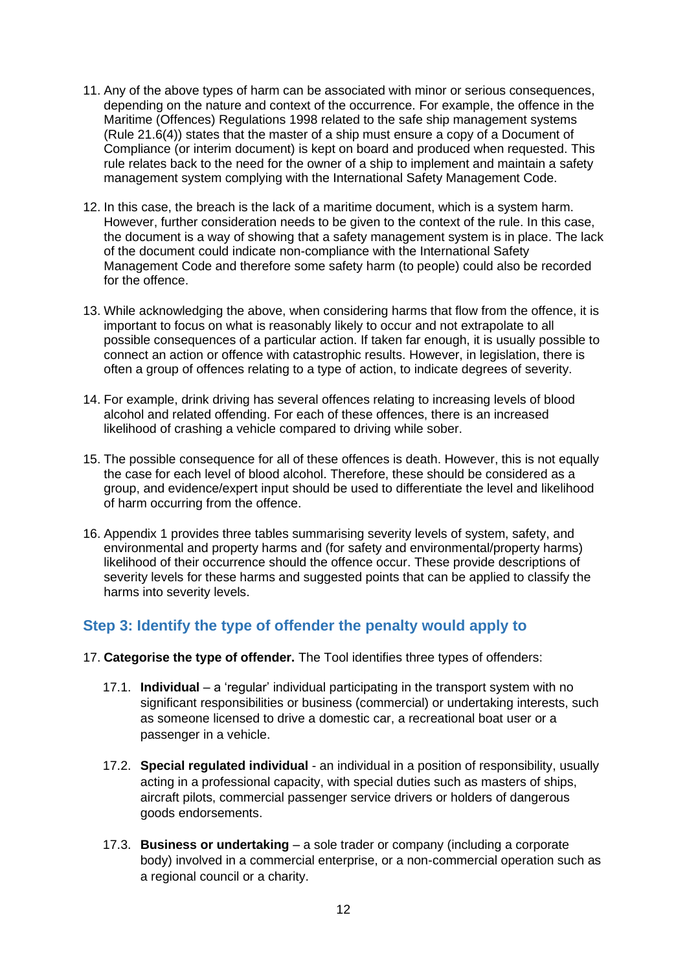- 11. Any of the above types of harm can be associated with minor or serious consequences, depending on the nature and context of the occurrence. For example, the offence in the Maritime (Offences) Regulations 1998 related to the safe ship management systems (Rule 21.6(4)) states that the master of a ship must ensure a copy of a Document of Compliance (or interim document) is kept on board and produced when requested. This rule relates back to the need for the owner of a ship to implement and maintain a safety management system complying with the International Safety Management Code.
- 12. In this case, the breach is the lack of a maritime document, which is a system harm. However, further consideration needs to be given to the context of the rule. In this case, the document is a way of showing that a safety management system is in place. The lack of the document could indicate non-compliance with the International Safety Management Code and therefore some safety harm (to people) could also be recorded for the offence.
- 13. While acknowledging the above, when considering harms that flow from the offence, it is important to focus on what is reasonably likely to occur and not extrapolate to all possible consequences of a particular action. If taken far enough, it is usually possible to connect an action or offence with catastrophic results. However, in legislation, there is often a group of offences relating to a type of action, to indicate degrees of severity.
- 14. For example, drink driving has several offences relating to increasing levels of blood alcohol and related offending. For each of these offences, there is an increased likelihood of crashing a vehicle compared to driving while sober.
- 15. The possible consequence for all of these offences is death. However, this is not equally the case for each level of blood alcohol. Therefore, these should be considered as a group, and evidence/expert input should be used to differentiate the level and likelihood of harm occurring from the offence.
- 16. Appendix 1 provides three tables summarising severity levels of system, safety, and environmental and property harms and (for safety and environmental/property harms) likelihood of their occurrence should the offence occur. These provide descriptions of severity levels for these harms and suggested points that can be applied to classify the harms into severity levels.

### <span id="page-11-0"></span>**Step 3: Identify the type of offender the penalty would apply to**

- 17. **Categorise the type of offender.** The Tool identifies three types of offenders:
	- 17.1. **Individual** a 'regular' individual participating in the transport system with no significant responsibilities or business (commercial) or undertaking interests, such as someone licensed to drive a domestic car, a recreational boat user or a passenger in a vehicle.
	- 17.2. **Special regulated individual** an individual in a position of responsibility, usually acting in a professional capacity, with special duties such as masters of ships, aircraft pilots, commercial passenger service drivers or holders of dangerous goods endorsements.
	- 17.3. **Business or undertaking** a sole trader or company (including a corporate body) involved in a commercial enterprise, or a non-commercial operation such as a regional council or a charity.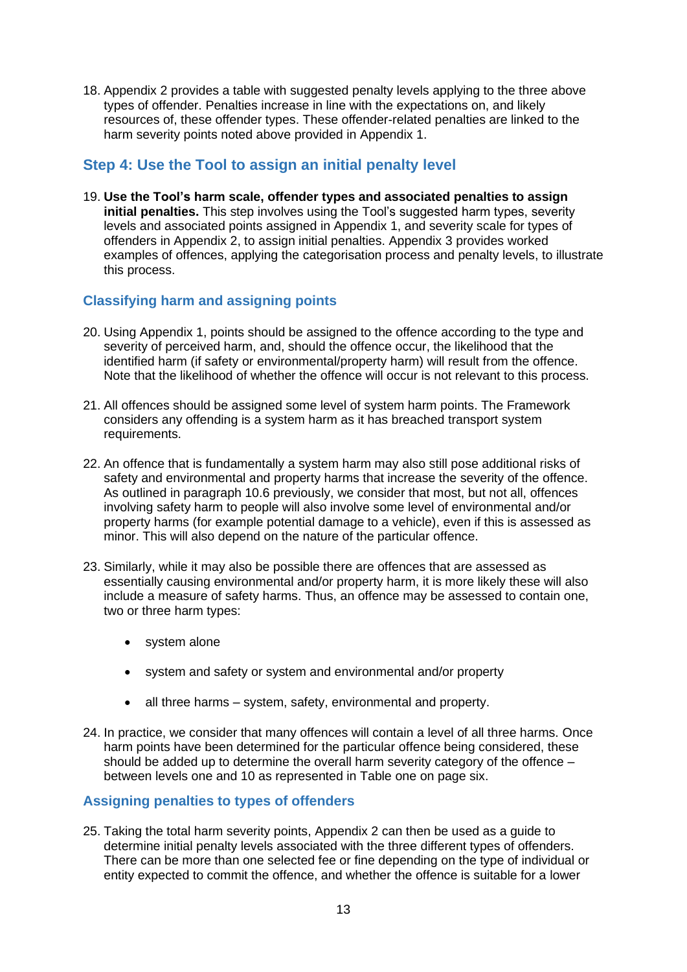18. Appendix 2 provides a table with suggested penalty levels applying to the three above types of offender. Penalties increase in line with the expectations on, and likely resources of, these offender types. These offender-related penalties are linked to the harm severity points noted above provided in Appendix 1.

### <span id="page-12-0"></span>**Step 4: Use the Tool to assign an initial penalty level**

19. **Use the Tool's harm scale, offender types and associated penalties to assign initial penalties.** This step involves using the Tool's suggested harm types, severity levels and associated points assigned in Appendix 1, and severity scale for types of offenders in Appendix 2, to assign initial penalties. Appendix 3 provides worked examples of offences, applying the categorisation process and penalty levels, to illustrate this process.

#### <span id="page-12-1"></span>**Classifying harm and assigning points**

- 20. Using Appendix 1, points should be assigned to the offence according to the type and severity of perceived harm, and, should the offence occur, the likelihood that the identified harm (if safety or environmental/property harm) will result from the offence. Note that the likelihood of whether the offence will occur is not relevant to this process.
- 21. All offences should be assigned some level of system harm points. The Framework considers any offending is a system harm as it has breached transport system requirements.
- 22. An offence that is fundamentally a system harm may also still pose additional risks of safety and environmental and property harms that increase the severity of the offence. As outlined in paragraph 10.6 previously, we consider that most, but not all, offences involving safety harm to people will also involve some level of environmental and/or property harms (for example potential damage to a vehicle), even if this is assessed as minor. This will also depend on the nature of the particular offence.
- 23. Similarly, while it may also be possible there are offences that are assessed as essentially causing environmental and/or property harm, it is more likely these will also include a measure of safety harms. Thus, an offence may be assessed to contain one, two or three harm types:
	- system alone
	- system and safety or system and environmental and/or property
	- all three harms system, safety, environmental and property.
- 24. In practice, we consider that many offences will contain a level of all three harms. Once harm points have been determined for the particular offence being considered, these should be added up to determine the overall harm severity category of the offence – between levels one and 10 as represented in Table one on page six.

### <span id="page-12-2"></span>**Assigning penalties to types of offenders**

25. Taking the total harm severity points, Appendix 2 can then be used as a guide to determine initial penalty levels associated with the three different types of offenders. There can be more than one selected fee or fine depending on the type of individual or entity expected to commit the offence, and whether the offence is suitable for a lower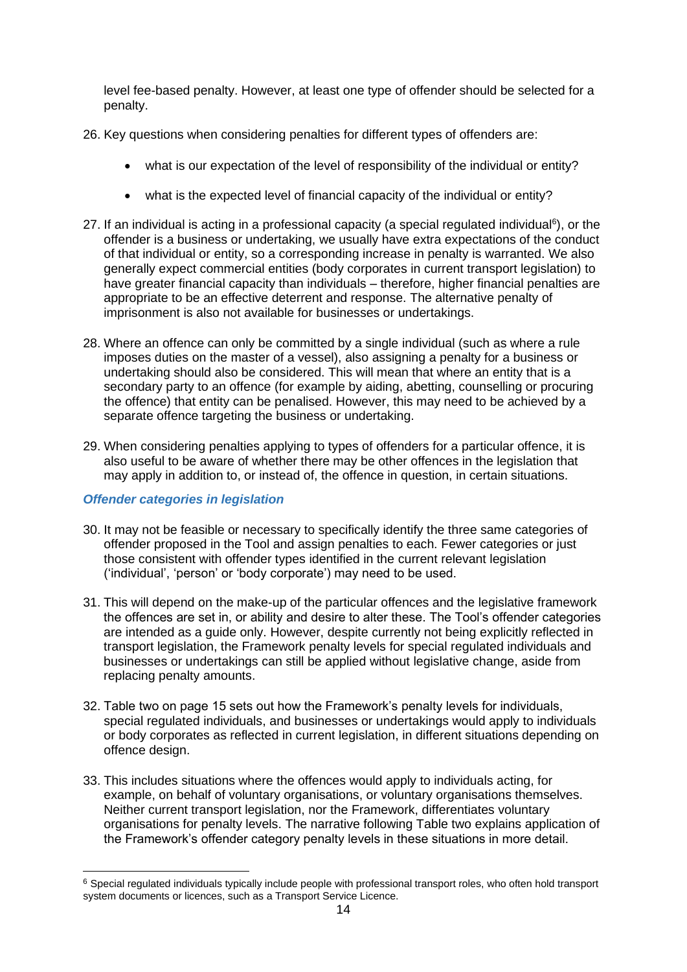level fee-based penalty. However, at least one type of offender should be selected for a penalty.

- 26. Key questions when considering penalties for different types of offenders are:
	- what is our expectation of the level of responsibility of the individual or entity?
	- what is the expected level of financial capacity of the individual or entity?
- 27. If an individual is acting in a professional capacity (a special regulated individual<sup>6</sup>), or the offender is a business or undertaking, we usually have extra expectations of the conduct of that individual or entity, so a corresponding increase in penalty is warranted. We also generally expect commercial entities (body corporates in current transport legislation) to have greater financial capacity than individuals – therefore, higher financial penalties are appropriate to be an effective deterrent and response. The alternative penalty of imprisonment is also not available for businesses or undertakings.
- 28. Where an offence can only be committed by a single individual (such as where a rule imposes duties on the master of a vessel), also assigning a penalty for a business or undertaking should also be considered. This will mean that where an entity that is a secondary party to an offence (for example by aiding, abetting, counselling or procuring the offence) that entity can be penalised. However, this may need to be achieved by a separate offence targeting the business or undertaking.
- 29. When considering penalties applying to types of offenders for a particular offence, it is also useful to be aware of whether there may be other offences in the legislation that may apply in addition to, or instead of, the offence in question, in certain situations.

#### *Offender categories in legislation*

- 30. It may not be feasible or necessary to specifically identify the three same categories of offender proposed in the Tool and assign penalties to each. Fewer categories or just those consistent with offender types identified in the current relevant legislation ('individual', 'person' or 'body corporate') may need to be used.
- 31. This will depend on the make-up of the particular offences and the legislative framework the offences are set in, or ability and desire to alter these. The Tool's offender categories are intended as a guide only. However, despite currently not being explicitly reflected in transport legislation, the Framework penalty levels for special regulated individuals and businesses or undertakings can still be applied without legislative change, aside from replacing penalty amounts.
- 32. Table two on page 15 sets out how the Framework's penalty levels for individuals, special regulated individuals, and businesses or undertakings would apply to individuals or body corporates as reflected in current legislation, in different situations depending on offence design.
- 33. This includes situations where the offences would apply to individuals acting, for example, on behalf of voluntary organisations, or voluntary organisations themselves. Neither current transport legislation, nor the Framework, differentiates voluntary organisations for penalty levels. The narrative following Table two explains application of the Framework's offender category penalty levels in these situations in more detail.

<sup>&</sup>lt;sup>6</sup> Special regulated individuals typically include people with professional transport roles, who often hold transport system documents or licences, such as a Transport Service Licence.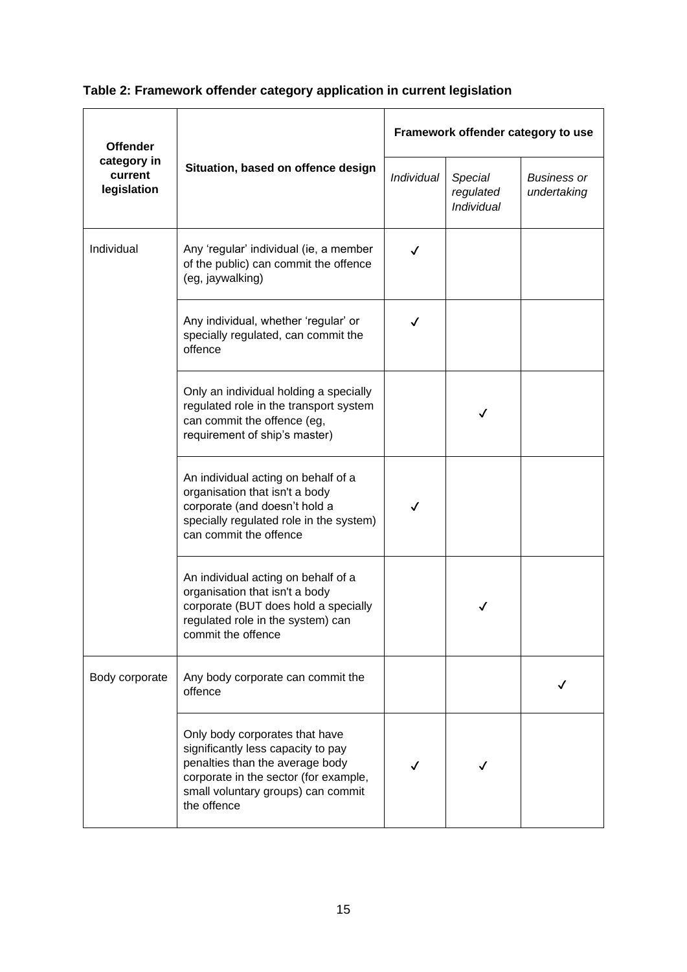# **Table 2: Framework offender category application in current legislation**

| <b>Offender</b>        |                                                                                                                                                                                                       | Framework offender category to use |                                    |                                   |  |
|------------------------|-------------------------------------------------------------------------------------------------------------------------------------------------------------------------------------------------------|------------------------------------|------------------------------------|-----------------------------------|--|
| current<br>legislation | category in<br>Situation, based on offence design                                                                                                                                                     |                                    | Special<br>regulated<br>Individual | <b>Business or</b><br>undertaking |  |
| Individual             | Any 'regular' individual (ie, a member<br>of the public) can commit the offence<br>(eg, jaywalking)                                                                                                   | √                                  |                                    |                                   |  |
|                        | Any individual, whether 'regular' or<br>specially regulated, can commit the<br>offence                                                                                                                | ✓                                  |                                    |                                   |  |
|                        | Only an individual holding a specially<br>regulated role in the transport system<br>can commit the offence (eg,<br>requirement of ship's master)                                                      |                                    | √                                  |                                   |  |
|                        | An individual acting on behalf of a<br>organisation that isn't a body<br>corporate (and doesn't hold a<br>specially regulated role in the system)<br>can commit the offence                           | ✓                                  |                                    |                                   |  |
|                        | An individual acting on behalf of a<br>organisation that isn't a body<br>corporate (BUT does hold a specially<br>regulated role in the system) can<br>commit the offence                              |                                    |                                    |                                   |  |
| Body corporate         | Any body corporate can commit the<br>offence                                                                                                                                                          |                                    |                                    |                                   |  |
|                        | Only body corporates that have<br>significantly less capacity to pay<br>penalties than the average body<br>corporate in the sector (for example,<br>small voluntary groups) can commit<br>the offence |                                    |                                    |                                   |  |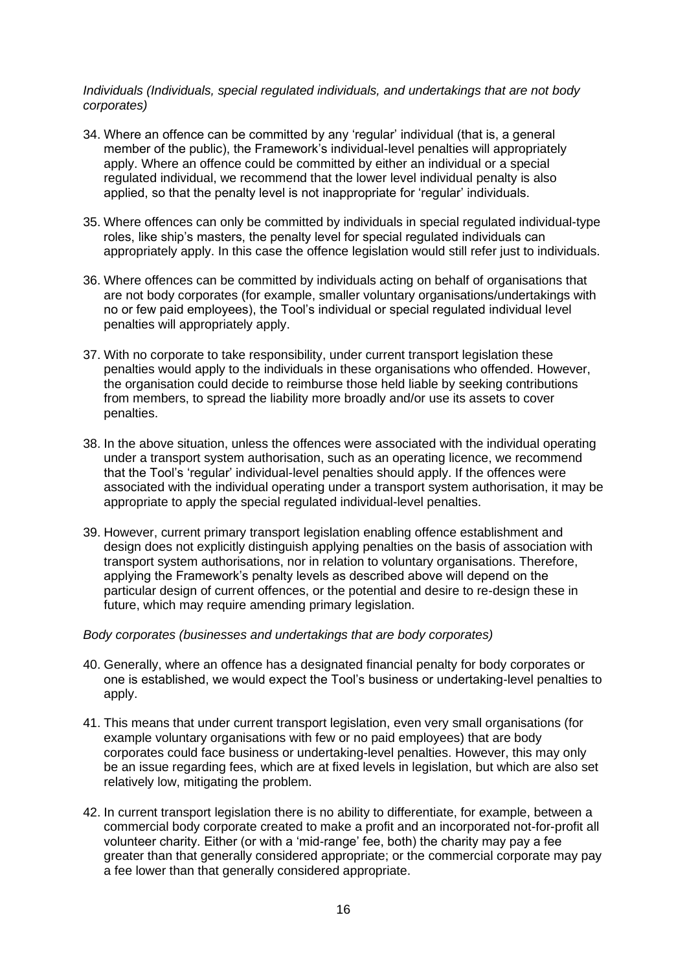#### *Individuals (Individuals, special regulated individuals, and undertakings that are not body corporates)*

- 34. Where an offence can be committed by any 'regular' individual (that is, a general member of the public), the Framework's individual-level penalties will appropriately apply. Where an offence could be committed by either an individual or a special regulated individual, we recommend that the lower level individual penalty is also applied, so that the penalty level is not inappropriate for 'regular' individuals.
- 35. Where offences can only be committed by individuals in special regulated individual-type roles, like ship's masters, the penalty level for special regulated individuals can appropriately apply. In this case the offence legislation would still refer just to individuals.
- 36. Where offences can be committed by individuals acting on behalf of organisations that are not body corporates (for example, smaller voluntary organisations/undertakings with no or few paid employees), the Tool's individual or special regulated individual level penalties will appropriately apply.
- 37. With no corporate to take responsibility, under current transport legislation these penalties would apply to the individuals in these organisations who offended. However, the organisation could decide to reimburse those held liable by seeking contributions from members, to spread the liability more broadly and/or use its assets to cover penalties.
- 38. In the above situation, unless the offences were associated with the individual operating under a transport system authorisation, such as an operating licence, we recommend that the Tool's 'regular' individual-level penalties should apply. If the offences were associated with the individual operating under a transport system authorisation, it may be appropriate to apply the special regulated individual-level penalties.
- 39. However, current primary transport legislation enabling offence establishment and design does not explicitly distinguish applying penalties on the basis of association with transport system authorisations, nor in relation to voluntary organisations. Therefore, applying the Framework's penalty levels as described above will depend on the particular design of current offences, or the potential and desire to re-design these in future, which may require amending primary legislation.

#### *Body corporates (businesses and undertakings that are body corporates)*

- 40. Generally, where an offence has a designated financial penalty for body corporates or one is established, we would expect the Tool's business or undertaking-level penalties to apply.
- 41. This means that under current transport legislation, even very small organisations (for example voluntary organisations with few or no paid employees) that are body corporates could face business or undertaking-level penalties. However, this may only be an issue regarding fees, which are at fixed levels in legislation, but which are also set relatively low, mitigating the problem.
- 42. In current transport legislation there is no ability to differentiate, for example, between a commercial body corporate created to make a profit and an incorporated not-for-profit all volunteer charity. Either (or with a 'mid-range' fee, both) the charity may pay a fee greater than that generally considered appropriate; or the commercial corporate may pay a fee lower than that generally considered appropriate.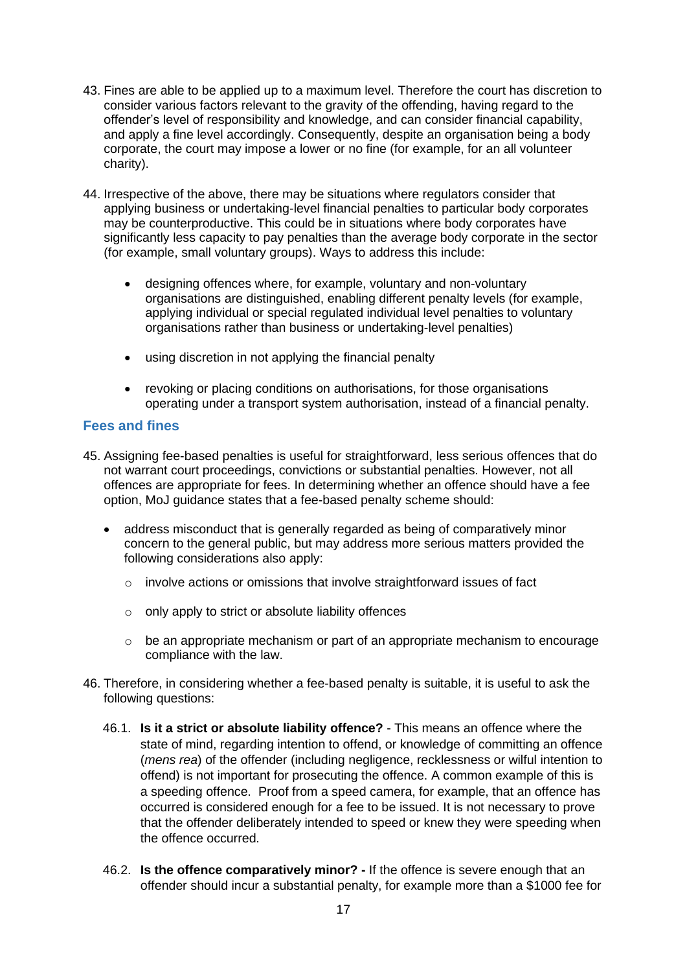- 43. Fines are able to be applied up to a maximum level. Therefore the court has discretion to consider various factors relevant to the gravity of the offending, having regard to the offender's level of responsibility and knowledge, and can consider financial capability, and apply a fine level accordingly. Consequently, despite an organisation being a body corporate, the court may impose a lower or no fine (for example, for an all volunteer charity).
- 44. Irrespective of the above, there may be situations where regulators consider that applying business or undertaking-level financial penalties to particular body corporates may be counterproductive. This could be in situations where body corporates have significantly less capacity to pay penalties than the average body corporate in the sector (for example, small voluntary groups). Ways to address this include:
	- designing offences where, for example, voluntary and non-voluntary organisations are distinguished, enabling different penalty levels (for example, applying individual or special regulated individual level penalties to voluntary organisations rather than business or undertaking-level penalties)
	- using discretion in not applying the financial penalty
	- revoking or placing conditions on authorisations, for those organisations operating under a transport system authorisation, instead of a financial penalty.

#### <span id="page-16-0"></span>**Fees and fines**

- 45. Assigning fee-based penalties is useful for straightforward, less serious offences that do not warrant court proceedings, convictions or substantial penalties. However, not all offences are appropriate for fees. In determining whether an offence should have a fee option, MoJ guidance states that a fee-based penalty scheme should:
	- address misconduct that is generally regarded as being of comparatively minor concern to the general public, but may address more serious matters provided the following considerations also apply:
		- $\circ$  involve actions or omissions that involve straightforward issues of fact
		- o only apply to strict or absolute liability offences
		- $\circ$  be an appropriate mechanism or part of an appropriate mechanism to encourage compliance with the law.
- 46. Therefore, in considering whether a fee-based penalty is suitable, it is useful to ask the following questions:
	- 46.1. **Is it a strict or absolute liability offence?** This means an offence where the state of mind, regarding intention to offend, or knowledge of committing an offence (*mens rea*) of the offender (including negligence, recklessness or wilful intention to offend) is not important for prosecuting the offence. A common example of this is a speeding offence. Proof from a speed camera, for example, that an offence has occurred is considered enough for a fee to be issued. It is not necessary to prove that the offender deliberately intended to speed or knew they were speeding when the offence occurred.
	- 46.2. **Is the offence comparatively minor? -** If the offence is severe enough that an offender should incur a substantial penalty, for example more than a \$1000 fee for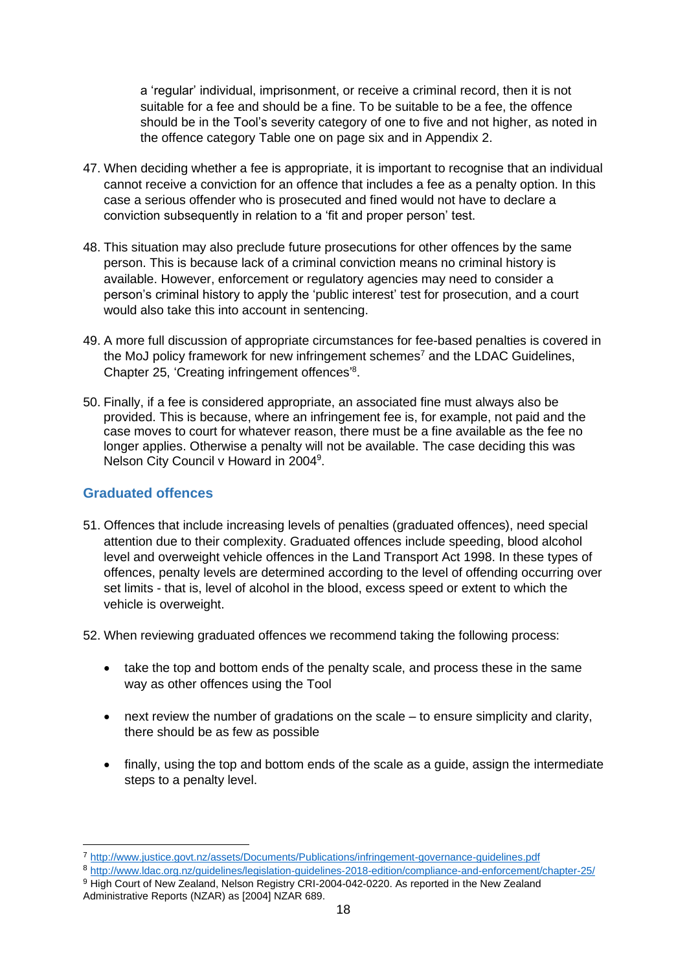a 'regular' individual, imprisonment, or receive a criminal record, then it is not suitable for a fee and should be a fine. To be suitable to be a fee, the offence should be in the Tool's severity category of one to five and not higher, as noted in the offence category Table one on page six and in Appendix 2.

- 47. When deciding whether a fee is appropriate, it is important to recognise that an individual cannot receive a conviction for an offence that includes a fee as a penalty option. In this case a serious offender who is prosecuted and fined would not have to declare a conviction subsequently in relation to a 'fit and proper person' test.
- 48. This situation may also preclude future prosecutions for other offences by the same person. This is because lack of a criminal conviction means no criminal history is available. However, enforcement or regulatory agencies may need to consider a person's criminal history to apply the 'public interest' test for prosecution, and a court would also take this into account in sentencing.
- 49. A more full discussion of appropriate circumstances for fee-based penalties is covered in the MoJ policy framework for new infringement schemes<sup>7</sup> and the LDAC Guidelines, Chapter 25, 'Creating infringement offences' 8 .
- 50. Finally, if a fee is considered appropriate, an associated fine must always also be provided. This is because, where an infringement fee is, for example, not paid and the case moves to court for whatever reason, there must be a fine available as the fee no longer applies. Otherwise a penalty will not be available. The case deciding this was Nelson City Council v Howard in 2004<sup>9</sup>.

#### <span id="page-17-0"></span>**Graduated offences**

- 51. Offences that include increasing levels of penalties (graduated offences), need special attention due to their complexity. Graduated offences include speeding, blood alcohol level and overweight vehicle offences in the Land Transport Act 1998. In these types of offences, penalty levels are determined according to the level of offending occurring over set limits - that is, level of alcohol in the blood, excess speed or extent to which the vehicle is overweight.
- 52. When reviewing graduated offences we recommend taking the following process:
	- take the top and bottom ends of the penalty scale, and process these in the same way as other offences using the Tool
	- next review the number of gradations on the scale to ensure simplicity and clarity, there should be as few as possible
	- finally, using the top and bottom ends of the scale as a quide, assign the intermediate steps to a penalty level.

<sup>7</sup> <http://www.justice.govt.nz/assets/Documents/Publications/infringement-governance-guidelines.pdf>

<sup>8</sup> <http://www.ldac.org.nz/guidelines/legislation-guidelines-2018-edition/compliance-and-enforcement/chapter-25/> 9 High Court of New Zealand, Nelson Registry CRI-2004-042-0220. As reported in the New Zealand Administrative Reports (NZAR) as [2004] NZAR 689.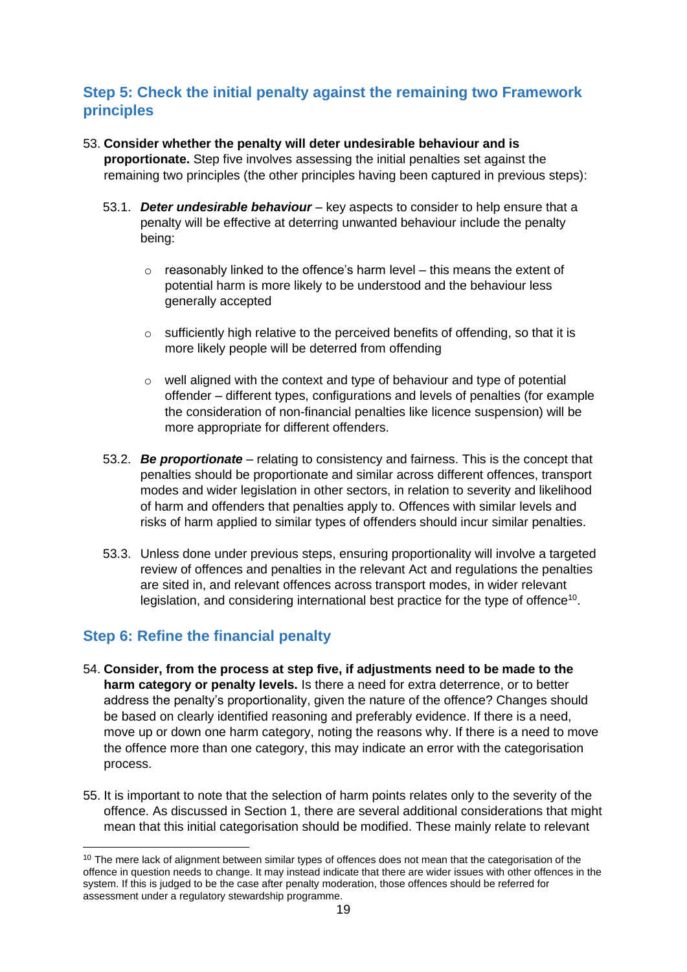### <span id="page-18-0"></span>**Step 5: Check the initial penalty against the remaining two Framework principles**

### 53. **Consider whether the penalty will deter undesirable behaviour and is**

**proportionate.** Step five involves assessing the initial penalties set against the remaining two principles (the other principles having been captured in previous steps):

- 53.1. *Deter undesirable behaviour* key aspects to consider to help ensure that a penalty will be effective at deterring unwanted behaviour include the penalty being:
	- $\circ$  reasonably linked to the offence's harm level this means the extent of potential harm is more likely to be understood and the behaviour less generally accepted
	- $\circ$  sufficiently high relative to the perceived benefits of offending, so that it is more likely people will be deterred from offending
	- o well aligned with the context and type of behaviour and type of potential offender – different types, configurations and levels of penalties (for example the consideration of non-financial penalties like licence suspension) will be more appropriate for different offenders.
- 53.2. *Be proportionate* relating to consistency and fairness. This is the concept that penalties should be proportionate and similar across different offences, transport modes and wider legislation in other sectors, in relation to severity and likelihood of harm and offenders that penalties apply to. Offences with similar levels and risks of harm applied to similar types of offenders should incur similar penalties.
- 53.3. Unless done under previous steps, ensuring proportionality will involve a targeted review of offences and penalties in the relevant Act and regulations the penalties are sited in, and relevant offences across transport modes, in wider relevant legislation, and considering international best practice for the type of offence<sup>10</sup>.

# <span id="page-18-1"></span>**Step 6: Refine the financial penalty**

- 54. **Consider, from the process at step five, if adjustments need to be made to the harm category or penalty levels.** Is there a need for extra deterrence, or to better address the penalty's proportionality, given the nature of the offence? Changes should be based on clearly identified reasoning and preferably evidence. If there is a need, move up or down one harm category, noting the reasons why. If there is a need to move the offence more than one category, this may indicate an error with the categorisation process.
- 55. It is important to note that the selection of harm points relates only to the severity of the offence. As discussed in Section 1, there are several additional considerations that might mean that this initial categorisation should be modified. These mainly relate to relevant

<sup>&</sup>lt;sup>10</sup> The mere lack of alignment between similar types of offences does not mean that the categorisation of the offence in question needs to change. It may instead indicate that there are wider issues with other offences in the system. If this is judged to be the case after penalty moderation, those offences should be referred for assessment under a regulatory stewardship programme.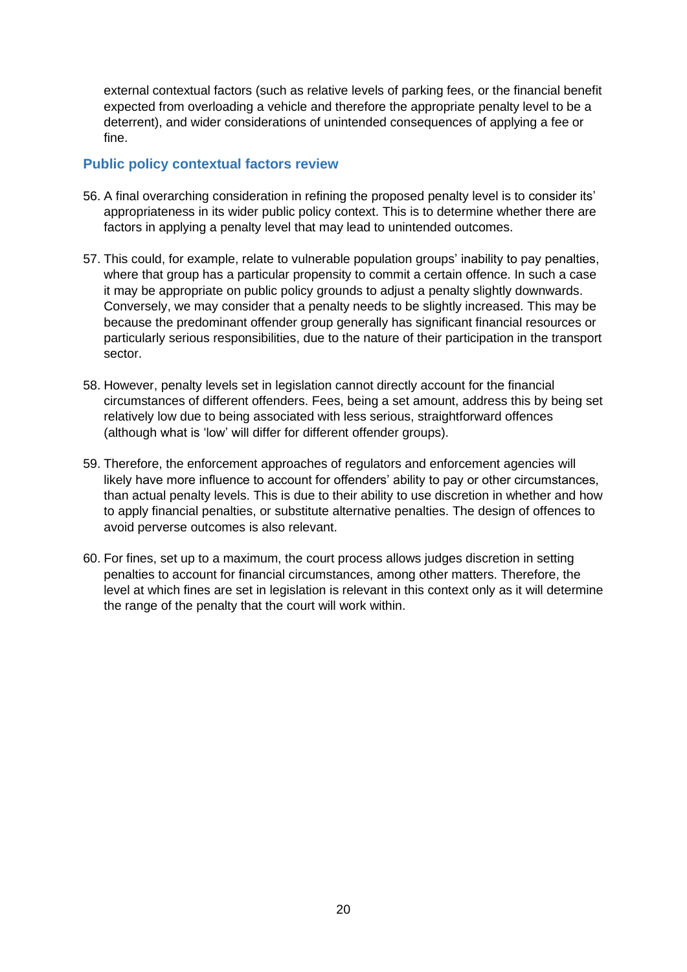external contextual factors (such as relative levels of parking fees, or the financial benefit expected from overloading a vehicle and therefore the appropriate penalty level to be a deterrent), and wider considerations of unintended consequences of applying a fee or fine.

#### <span id="page-19-0"></span>**Public policy contextual factors review**

- 56. A final overarching consideration in refining the proposed penalty level is to consider its' appropriateness in its wider public policy context. This is to determine whether there are factors in applying a penalty level that may lead to unintended outcomes.
- 57. This could, for example, relate to vulnerable population groups' inability to pay penalties, where that group has a particular propensity to commit a certain offence. In such a case it may be appropriate on public policy grounds to adjust a penalty slightly downwards. Conversely, we may consider that a penalty needs to be slightly increased. This may be because the predominant offender group generally has significant financial resources or particularly serious responsibilities, due to the nature of their participation in the transport sector.
- 58. However, penalty levels set in legislation cannot directly account for the financial circumstances of different offenders. Fees, being a set amount, address this by being set relatively low due to being associated with less serious, straightforward offences (although what is 'low' will differ for different offender groups).
- 59. Therefore, the enforcement approaches of regulators and enforcement agencies will likely have more influence to account for offenders' ability to pay or other circumstances, than actual penalty levels. This is due to their ability to use discretion in whether and how to apply financial penalties, or substitute alternative penalties. The design of offences to avoid perverse outcomes is also relevant.
- 60. For fines, set up to a maximum, the court process allows judges discretion in setting penalties to account for financial circumstances, among other matters. Therefore, the level at which fines are set in legislation is relevant in this context only as it will determine the range of the penalty that the court will work within.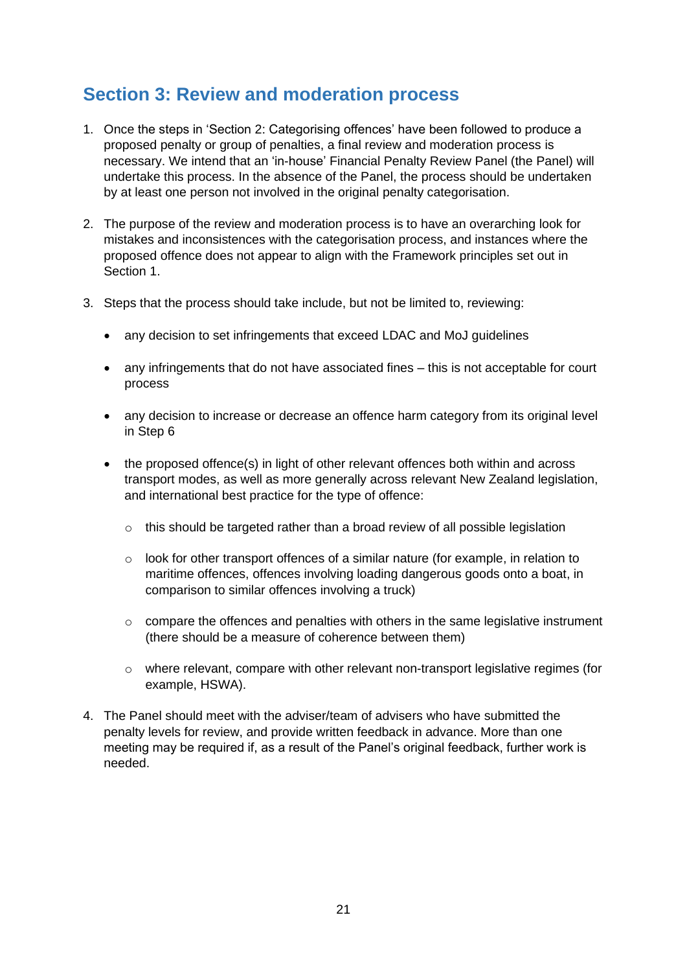# <span id="page-20-0"></span>**Section 3: Review and moderation process**

- 1. Once the steps in 'Section 2: Categorising offences' have been followed to produce a proposed penalty or group of penalties, a final review and moderation process is necessary. We intend that an 'in-house' Financial Penalty Review Panel (the Panel) will undertake this process. In the absence of the Panel, the process should be undertaken by at least one person not involved in the original penalty categorisation.
- 2. The purpose of the review and moderation process is to have an overarching look for mistakes and inconsistences with the categorisation process, and instances where the proposed offence does not appear to align with the Framework principles set out in Section 1.
- 3. Steps that the process should take include, but not be limited to, reviewing:
	- any decision to set infringements that exceed LDAC and MoJ quidelines
	- any infringements that do not have associated fines this is not acceptable for court process
	- any decision to increase or decrease an offence harm category from its original level in Step 6
	- the proposed offence(s) in light of other relevant offences both within and across transport modes, as well as more generally across relevant New Zealand legislation, and international best practice for the type of offence:
		- $\circ$  this should be targeted rather than a broad review of all possible legislation
		- o look for other transport offences of a similar nature (for example, in relation to maritime offences, offences involving loading dangerous goods onto a boat, in comparison to similar offences involving a truck)
		- $\circ$  compare the offences and penalties with others in the same legislative instrument (there should be a measure of coherence between them)
		- o where relevant, compare with other relevant non-transport legislative regimes (for example, HSWA).
- 4. The Panel should meet with the adviser/team of advisers who have submitted the penalty levels for review, and provide written feedback in advance. More than one meeting may be required if, as a result of the Panel's original feedback, further work is needed.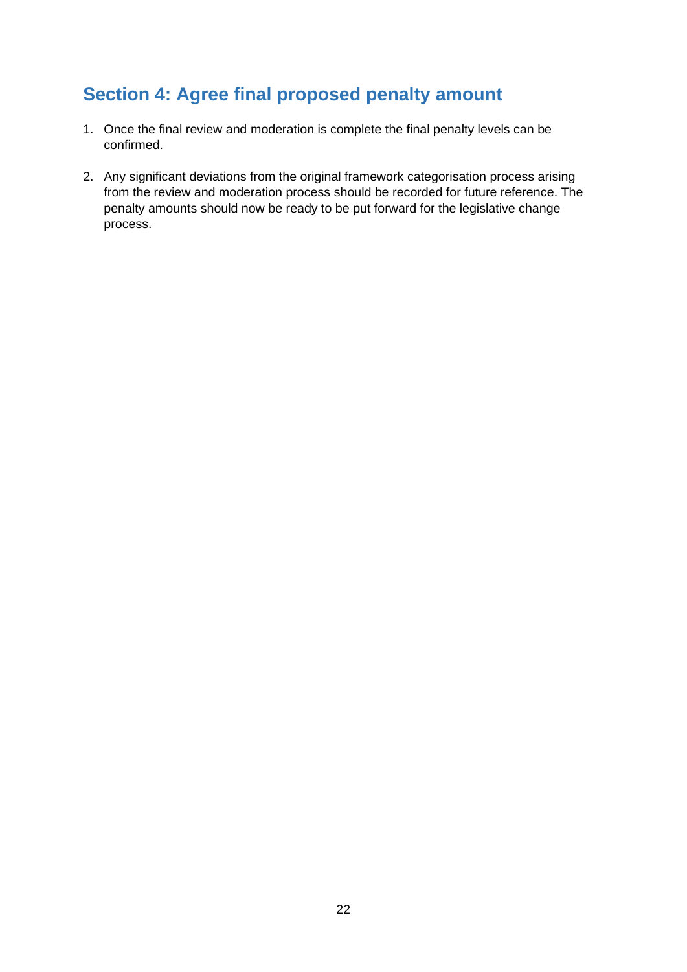# <span id="page-21-0"></span>**Section 4: Agree final proposed penalty amount**

- 1. Once the final review and moderation is complete the final penalty levels can be confirmed.
- 2. Any significant deviations from the original framework categorisation process arising from the review and moderation process should be recorded for future reference. The penalty amounts should now be ready to be put forward for the legislative change process.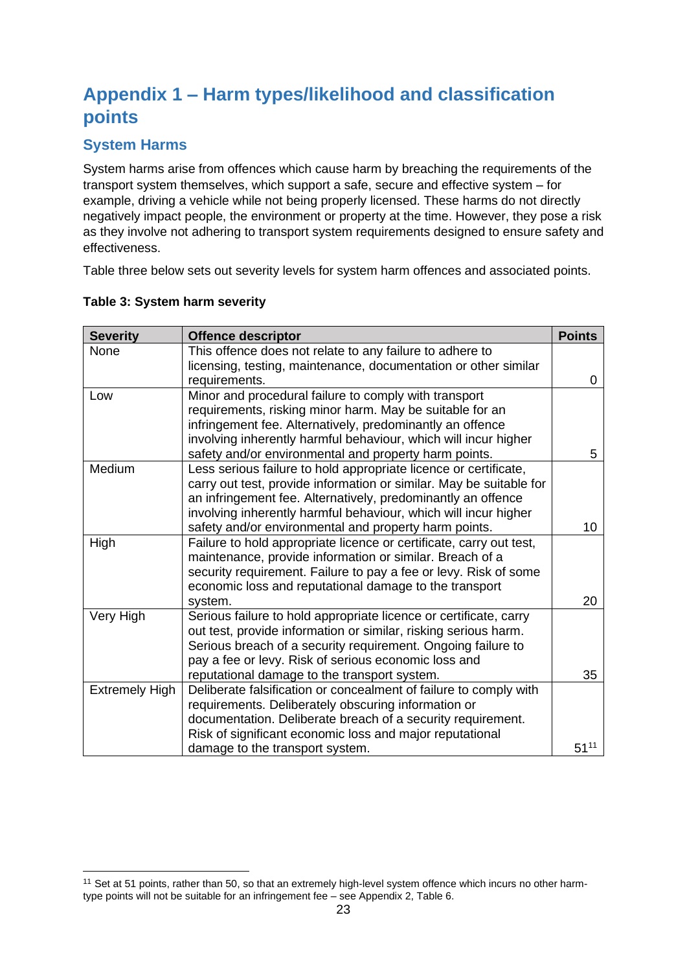# <span id="page-22-0"></span>**Appendix 1 – Harm types/likelihood and classification points**

### <span id="page-22-1"></span>**System Harms**

System harms arise from offences which cause harm by breaching the requirements of the transport system themselves, which support a safe, secure and effective system – for example, driving a vehicle while not being properly licensed. These harms do not directly negatively impact people, the environment or property at the time. However, they pose a risk as they involve not adhering to transport system requirements designed to ensure safety and effectiveness.

Table three below sets out severity levels for system harm offences and associated points.

| <b>Severity</b>       | <b>Offence descriptor</b>                                           | <b>Points</b> |
|-----------------------|---------------------------------------------------------------------|---------------|
| None                  | This offence does not relate to any failure to adhere to            |               |
|                       | licensing, testing, maintenance, documentation or other similar     |               |
|                       | requirements.                                                       | 0             |
| Low                   | Minor and procedural failure to comply with transport               |               |
|                       | requirements, risking minor harm. May be suitable for an            |               |
|                       | infringement fee. Alternatively, predominantly an offence           |               |
|                       | involving inherently harmful behaviour, which will incur higher     |               |
|                       | safety and/or environmental and property harm points.               | 5             |
| Medium                | Less serious failure to hold appropriate licence or certificate,    |               |
|                       | carry out test, provide information or similar. May be suitable for |               |
|                       | an infringement fee. Alternatively, predominantly an offence        |               |
|                       | involving inherently harmful behaviour, which will incur higher     |               |
|                       | safety and/or environmental and property harm points.               | 10            |
| High                  | Failure to hold appropriate licence or certificate, carry out test, |               |
|                       | maintenance, provide information or similar. Breach of a            |               |
|                       | security requirement. Failure to pay a fee or levy. Risk of some    |               |
|                       | economic loss and reputational damage to the transport              |               |
|                       | system.                                                             | 20            |
| Very High             | Serious failure to hold appropriate licence or certificate, carry   |               |
|                       | out test, provide information or similar, risking serious harm.     |               |
|                       | Serious breach of a security requirement. Ongoing failure to        |               |
|                       | pay a fee or levy. Risk of serious economic loss and                |               |
|                       | reputational damage to the transport system.                        | 35            |
| <b>Extremely High</b> | Deliberate falsification or concealment of failure to comply with   |               |
|                       | requirements. Deliberately obscuring information or                 |               |
|                       | documentation. Deliberate breach of a security requirement.         |               |
|                       | Risk of significant economic loss and major reputational            |               |
|                       | damage to the transport system.                                     | $51^{11}$     |

#### **Table 3: System harm severity**

<sup>&</sup>lt;sup>11</sup> Set at 51 points, rather than 50, so that an extremely high-level system offence which incurs no other harmtype points will not be suitable for an infringement fee – see Appendix 2, Table 6.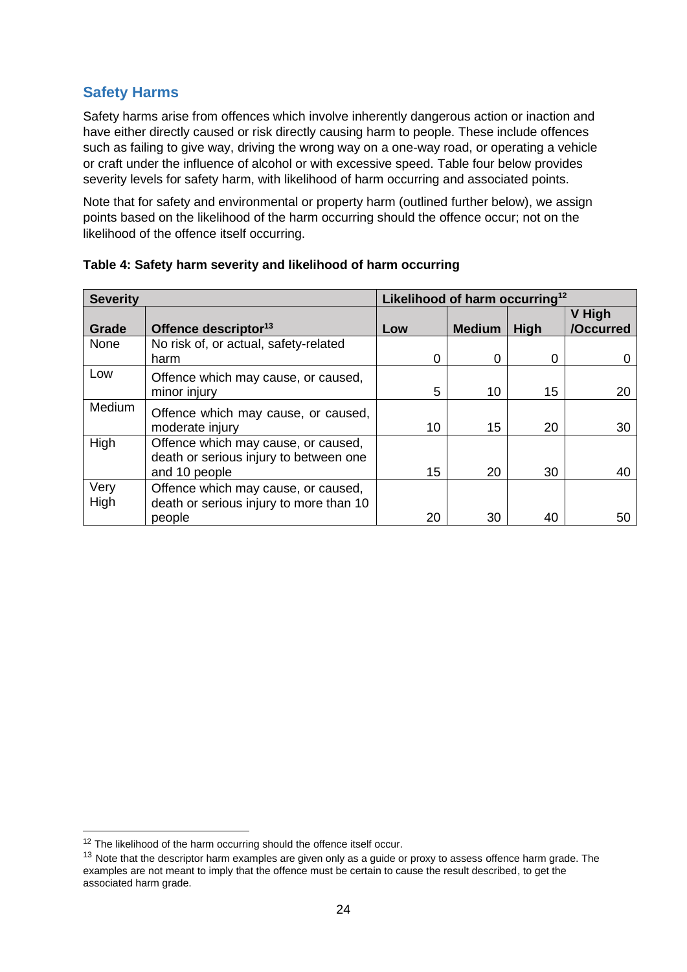### <span id="page-23-0"></span>**Safety Harms**

Safety harms arise from offences which involve inherently dangerous action or inaction and have either directly caused or risk directly causing harm to people. These include offences such as failing to give way, driving the wrong way on a one-way road, or operating a vehicle or craft under the influence of alcohol or with excessive speed. Table four below provides severity levels for safety harm, with likelihood of harm occurring and associated points.

Note that for safety and environmental or property harm (outlined further below), we assign points based on the likelihood of the harm occurring should the offence occur; not on the likelihood of the offence itself occurring.

| <b>Severity</b> |                                                                                                | Likelihood of harm occurring <sup>12</sup> |               |      |                     |
|-----------------|------------------------------------------------------------------------------------------------|--------------------------------------------|---------------|------|---------------------|
| Grade           | Offence descriptor <sup>13</sup>                                                               | Low                                        | <b>Medium</b> | High | V High<br>/Occurred |
| None            | No risk of, or actual, safety-related<br>harm                                                  | 0                                          | 0             | O    | 0                   |
| Low             | Offence which may cause, or caused,<br>minor injury                                            | 5                                          | 10            | 15   | 20                  |
| Medium          | Offence which may cause, or caused,<br>moderate injury                                         | 10                                         | 15            | 20   | 30                  |
| High            | Offence which may cause, or caused,<br>death or serious injury to between one<br>and 10 people | 15                                         | 20            | 30   | 40                  |
| Very<br>High    | Offence which may cause, or caused,<br>death or serious injury to more than 10<br>people       | 20                                         | 30            | 40   | 50                  |

|  |  |  | Table 4: Safety harm severity and likelihood of harm occurring |  |  |
|--|--|--|----------------------------------------------------------------|--|--|
|--|--|--|----------------------------------------------------------------|--|--|

<sup>&</sup>lt;sup>12</sup> The likelihood of the harm occurring should the offence itself occur.

<sup>&</sup>lt;sup>13</sup> Note that the descriptor harm examples are given only as a guide or proxy to assess offence harm grade. The examples are not meant to imply that the offence must be certain to cause the result described, to get the associated harm grade.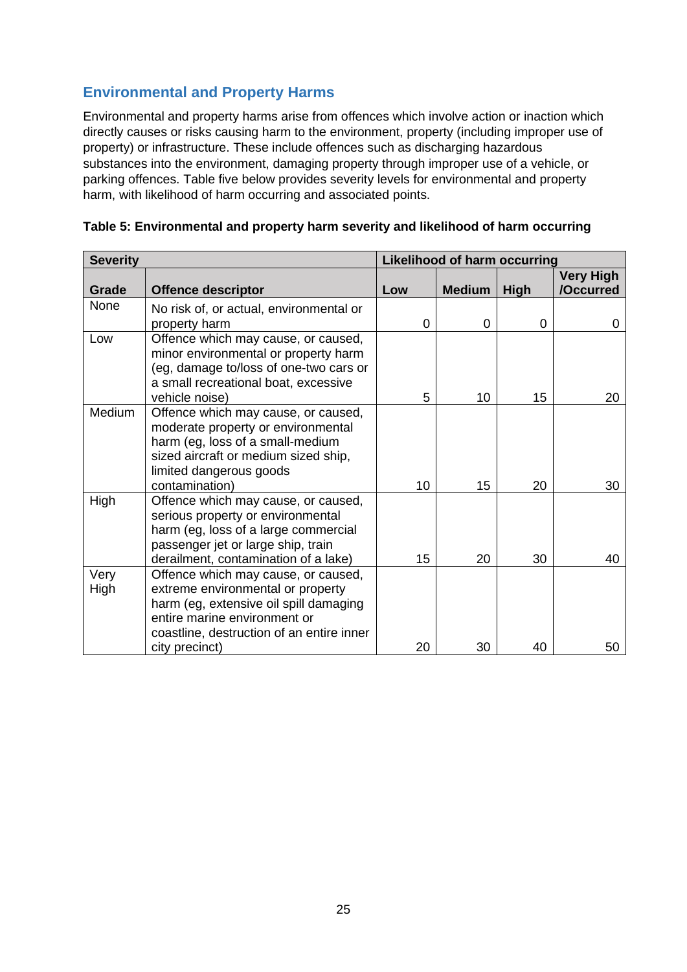## <span id="page-24-0"></span>**Environmental and Property Harms**

Environmental and property harms arise from offences which involve action or inaction which directly causes or risks causing harm to the environment, property (including improper use of property) or infrastructure. These include offences such as discharging hazardous substances into the environment, damaging property through improper use of a vehicle, or parking offences. Table five below provides severity levels for environmental and property harm, with likelihood of harm occurring and associated points.

| <b>Severity</b> |                                                                                                                                                                                                                   | <b>Likelihood of harm occurring</b> |               |      |                               |
|-----------------|-------------------------------------------------------------------------------------------------------------------------------------------------------------------------------------------------------------------|-------------------------------------|---------------|------|-------------------------------|
| Grade           | <b>Offence descriptor</b>                                                                                                                                                                                         | Low                                 | <b>Medium</b> | High | <b>Very High</b><br>/Occurred |
| <b>None</b>     | No risk of, or actual, environmental or<br>property harm                                                                                                                                                          | 0                                   | 0             | 0    | 0                             |
| Low             | Offence which may cause, or caused,<br>minor environmental or property harm<br>(eg, damage to/loss of one-two cars or<br>a small recreational boat, excessive<br>vehicle noise)                                   | 5                                   | 10            | 15   | 20                            |
| <b>Medium</b>   | Offence which may cause, or caused,<br>moderate property or environmental<br>harm (eg, loss of a small-medium<br>sized aircraft or medium sized ship,<br>limited dangerous goods<br>contamination)                | 10                                  | 15            | 20   | 30                            |
| High            | Offence which may cause, or caused,<br>serious property or environmental<br>harm (eg, loss of a large commercial<br>passenger jet or large ship, train<br>derailment, contamination of a lake)                    | 15                                  | 20            | 30   | 40                            |
| Very<br>High    | Offence which may cause, or caused,<br>extreme environmental or property<br>harm (eg, extensive oil spill damaging<br>entire marine environment or<br>coastline, destruction of an entire inner<br>city precinct) | 20                                  | 30            | 40   | 50                            |

| Table 5: Environmental and property harm severity and likelihood of harm occurring |  |  |
|------------------------------------------------------------------------------------|--|--|
|                                                                                    |  |  |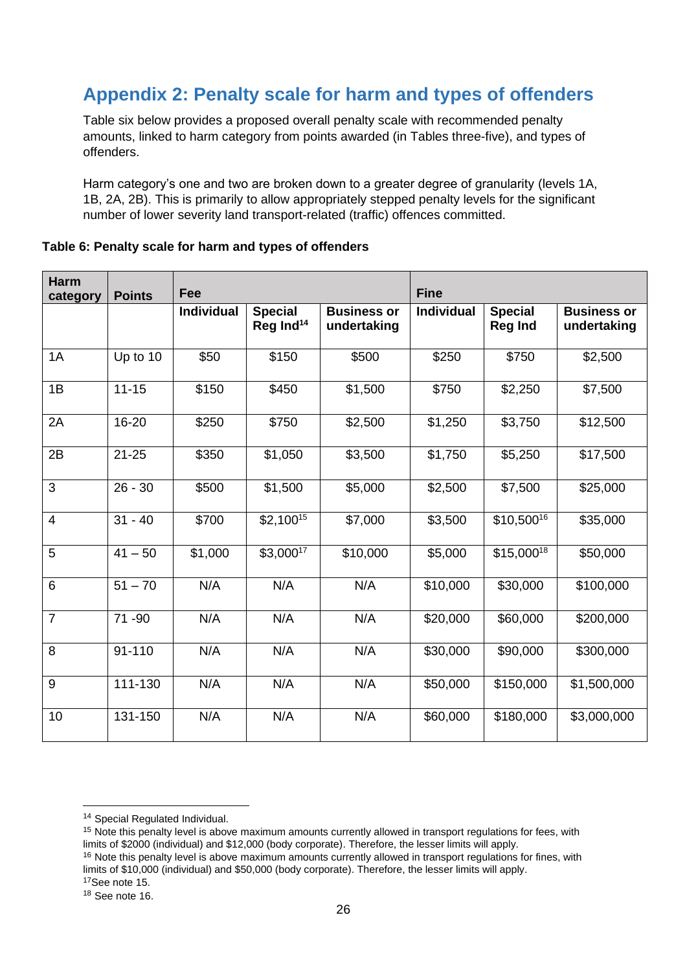# <span id="page-25-0"></span>**Appendix 2: Penalty scale for harm and types of offenders**

Table six below provides a proposed overall penalty scale with recommended penalty amounts, linked to harm category from points awarded (in Tables three-five), and types of offenders.

Harm category's one and two are broken down to a greater degree of granularity (levels 1A, 1B, 2A, 2B). This is primarily to allow appropriately stepped penalty levels for the significant number of lower severity land transport-related (traffic) offences committed.

| <b>Harm</b><br>category | <b>Points</b> | Fee               |                                         |                                   | <b>Fine</b>       |                                  |                                   |
|-------------------------|---------------|-------------------|-----------------------------------------|-----------------------------------|-------------------|----------------------------------|-----------------------------------|
|                         |               | <b>Individual</b> | <b>Special</b><br>Reg Ind <sup>14</sup> | <b>Business or</b><br>undertaking | <b>Individual</b> | <b>Special</b><br><b>Reg Ind</b> | <b>Business or</b><br>undertaking |
| 1A                      | Up to 10      | \$50              | \$150                                   | \$500                             | \$250             | \$750                            | \$2,500                           |
| 1B                      | $11 - 15$     | \$150             | \$450                                   | \$1,500                           | \$750             | \$2,250                          | \$7,500                           |
| 2A                      | 16-20         | \$250             | \$750                                   | \$2,500                           | \$1,250           | \$3,750                          | \$12,500                          |
| 2B                      | $21 - 25$     | \$350             | \$1,050                                 | \$3,500                           | \$1,750           | \$5,250                          | \$17,500                          |
| 3                       | $26 - 30$     | \$500             | \$1,500                                 | \$5,000                           | \$2,500           | \$7,500                          | \$25,000                          |
| $\overline{4}$          | $31 - 40$     | \$700             | $$2,100^{15}$                           | \$7,000                           | \$3,500           | \$10,50016                       | \$35,000                          |
| 5                       | $41 - 50$     | \$1,000           | $$3,000^{17}$                           | \$10,000                          | \$5,000           | \$15,00018                       | \$50,000                          |
| 6                       | $51 - 70$     | N/A               | N/A                                     | N/A                               | \$10,000          | \$30,000                         | \$100,000                         |
| $\overline{7}$          | 71-90         | N/A               | N/A                                     | N/A                               | \$20,000          | \$60,000                         | \$200,000                         |
| 8                       | 91-110        | N/A               | N/A                                     | N/A                               | \$30,000          | \$90,000                         | \$300,000                         |
| 9                       | 111-130       | N/A               | N/A                                     | N/A                               | \$50,000          | \$150,000                        | \$1,500,000                       |
| 10                      | 131-150       | N/A               | N/A                                     | N/A                               | \$60,000          | \$180,000                        | \$3,000,000                       |

#### **Table 6: Penalty scale for harm and types of offenders**

<sup>14</sup> Special Regulated Individual.

<sup>&</sup>lt;sup>15</sup> Note this penalty level is above maximum amounts currently allowed in transport regulations for fees, with limits of \$2000 (individual) and \$12,000 (body corporate). Therefore, the lesser limits will apply.

<sup>&</sup>lt;sup>16</sup> Note this penalty level is above maximum amounts currently allowed in transport regulations for fines, with limits of \$10,000 (individual) and \$50,000 (body corporate). Therefore, the lesser limits will apply. <sup>17</sup>See note 15.

<sup>18</sup> See note 16.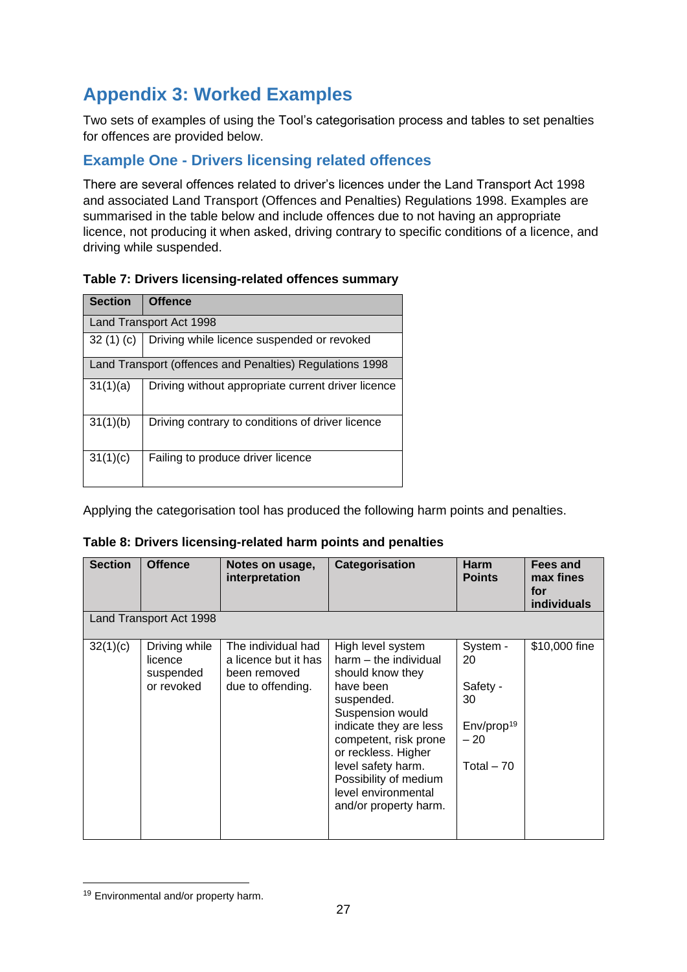# <span id="page-26-0"></span>**Appendix 3: Worked Examples**

Two sets of examples of using the Tool's categorisation process and tables to set penalties for offences are provided below.

### <span id="page-26-1"></span>**Example One - Drivers licensing related offences**

There are several offences related to driver's licences under the Land Transport Act 1998 and associated Land Transport (Offences and Penalties) Regulations 1998. Examples are summarised in the table below and include offences due to not having an appropriate licence, not producing it when asked, driving contrary to specific conditions of a licence, and driving while suspended.

| Table 7: Drivers licensing-related offences summary |  |
|-----------------------------------------------------|--|
|-----------------------------------------------------|--|

| <b>Section</b> | <b>Offence</b>                                           |
|----------------|----------------------------------------------------------|
|                | Land Transport Act 1998                                  |
| 32(1)(c)       | Driving while licence suspended or revoked               |
|                | Land Transport (offences and Penalties) Regulations 1998 |
| 31(1)(a)       | Driving without appropriate current driver licence       |
| 31(1)(b)       | Driving contrary to conditions of driver licence         |
| 31(1)(c)       | Failing to produce driver licence                        |

Applying the categorisation tool has produced the following harm points and penalties.

| <b>Section</b> | <b>Offence</b>                                      | Notes on usage,<br>interpretation                                               | Categorisation                                                                                                                                                                                                                                                                         | <b>Harm</b><br><b>Points</b>                                                       | Fees and<br>max fines<br>for<br><b>individuals</b> |
|----------------|-----------------------------------------------------|---------------------------------------------------------------------------------|----------------------------------------------------------------------------------------------------------------------------------------------------------------------------------------------------------------------------------------------------------------------------------------|------------------------------------------------------------------------------------|----------------------------------------------------|
|                | Land Transport Act 1998                             |                                                                                 |                                                                                                                                                                                                                                                                                        |                                                                                    |                                                    |
| 32(1)(c)       | Driving while<br>licence<br>suspended<br>or revoked | The individual had<br>a licence but it has<br>been removed<br>due to offending. | High level system<br>harm - the individual<br>should know they<br>have been<br>suspended.<br>Suspension would<br>indicate they are less<br>competent, risk prone<br>or reckless. Higher<br>level safety harm.<br>Possibility of medium<br>level environmental<br>and/or property harm. | System -<br>20<br>Safety -<br>30<br>Env/prop <sup>19</sup><br>$-20$<br>Total $-70$ | \$10,000 fine                                      |

| Table 8: Drivers licensing-related harm points and penalties |  |
|--------------------------------------------------------------|--|
|                                                              |  |
|                                                              |  |

<sup>19</sup> Environmental and/or property harm.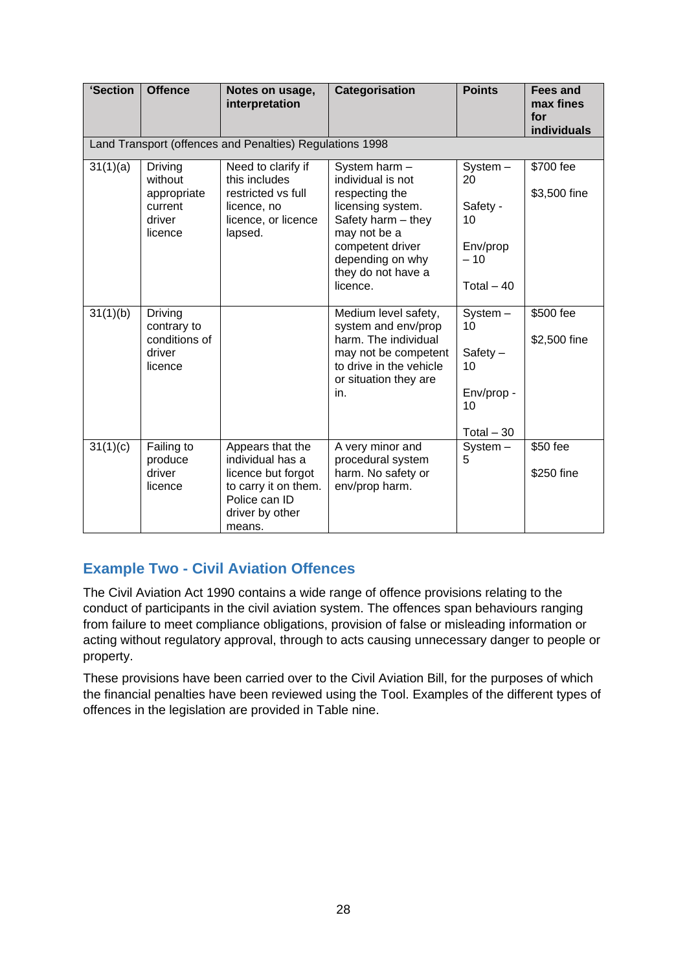| 'Section | <b>Offence</b>                                                    | Notes on usage,<br>interpretation                                                                                                | Categorisation                                                                                                                                                                            | <b>Points</b>                                                           | <b>Fees and</b><br>max fines<br>for<br>individuals |
|----------|-------------------------------------------------------------------|----------------------------------------------------------------------------------------------------------------------------------|-------------------------------------------------------------------------------------------------------------------------------------------------------------------------------------------|-------------------------------------------------------------------------|----------------------------------------------------|
|          |                                                                   | Land Transport (offences and Penalties) Regulations 1998                                                                         |                                                                                                                                                                                           |                                                                         |                                                    |
| 31(1)(a) | Driving<br>without<br>appropriate<br>current<br>driver<br>licence | Need to clarify if<br>this includes<br>restricted vs full<br>licence, no<br>licence, or licence<br>lapsed.                       | System harm -<br>individual is not<br>respecting the<br>licensing system.<br>Safety harm - they<br>may not be a<br>competent driver<br>depending on why<br>they do not have a<br>licence. | System-<br>20<br>Safety -<br>10<br>Env/prop<br>$-10$<br>Total $-40$     | \$700 fee<br>\$3,500 fine                          |
| 31(1)(b) | Driving<br>contrary to<br>conditions of<br>driver<br>licence      |                                                                                                                                  | Medium level safety,<br>system and env/prop<br>harm. The individual<br>may not be competent<br>to drive in the vehicle<br>or situation they are<br>in.                                    | $System -$<br>10<br>$Safety -$<br>10<br>Env/prop -<br>10<br>Total $-30$ | \$500 fee<br>\$2,500 fine                          |
| 31(1)(c) | Failing to<br>produce<br>driver<br>licence                        | Appears that the<br>individual has a<br>licence but forgot<br>to carry it on them.<br>Police can ID<br>driver by other<br>means. | A very minor and<br>procedural system<br>harm. No safety or<br>env/prop harm.                                                                                                             | $System -$<br>5                                                         | \$50 fee<br>\$250 fine                             |

# <span id="page-27-0"></span>**Example Two - Civil Aviation Offences**

The Civil Aviation Act 1990 contains a wide range of offence provisions relating to the conduct of participants in the civil aviation system. The offences span behaviours ranging from failure to meet compliance obligations, provision of false or misleading information or acting without regulatory approval, through to acts causing unnecessary danger to people or property.

These provisions have been carried over to the Civil Aviation Bill, for the purposes of which the financial penalties have been reviewed using the Tool. Examples of the different types of offences in the legislation are provided in Table nine.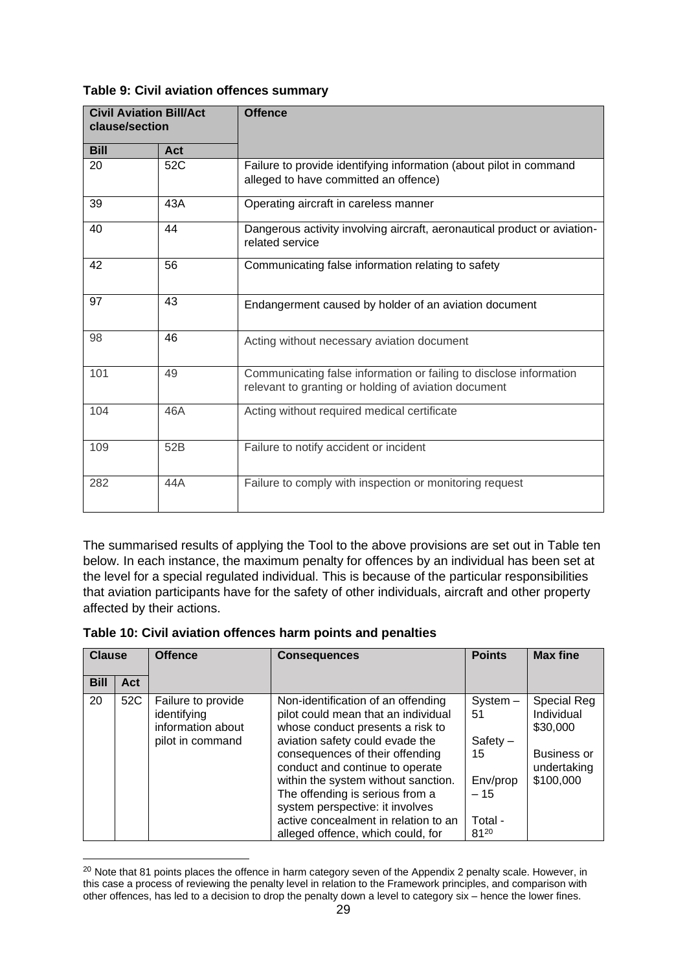| clause/section | <b>Civil Aviation Bill/Act</b> | <b>Offence</b>                                                                                                             |
|----------------|--------------------------------|----------------------------------------------------------------------------------------------------------------------------|
| <b>Bill</b>    | Act                            |                                                                                                                            |
| 20             | 52C                            | Failure to provide identifying information (about pilot in command<br>alleged to have committed an offence)                |
| 39             | 43A                            | Operating aircraft in careless manner                                                                                      |
| 40             | 44                             | Dangerous activity involving aircraft, aeronautical product or aviation-<br>related service                                |
| 42             | 56                             | Communicating false information relating to safety                                                                         |
| 97             | 43                             | Endangerment caused by holder of an aviation document                                                                      |
| 98             | 46                             | Acting without necessary aviation document                                                                                 |
| 101            | 49                             | Communicating false information or failing to disclose information<br>relevant to granting or holding of aviation document |
| 104            | 46A                            | Acting without required medical certificate                                                                                |
| 109            | 52B                            | Failure to notify accident or incident                                                                                     |
| 282            | 44A                            | Failure to comply with inspection or monitoring request                                                                    |

#### **Table 9: Civil aviation offences summary**

The summarised results of applying the Tool to the above provisions are set out in Table ten below. In each instance, the maximum penalty for offences by an individual has been set at the level for a special regulated individual. This is because of the particular responsibilities that aviation participants have for the safety of other individuals, aircraft and other property affected by their actions.

| Table 10: Civil aviation offences harm points and penalties |  |
|-------------------------------------------------------------|--|
|-------------------------------------------------------------|--|

| <b>Clause</b> |     | <b>Offence</b>                                                             | <b>Consequences</b>                                                                                                                                                                                                                                                                                                                                                                                              | <b>Points</b>                                                                | <b>Max fine</b>                                                                         |
|---------------|-----|----------------------------------------------------------------------------|------------------------------------------------------------------------------------------------------------------------------------------------------------------------------------------------------------------------------------------------------------------------------------------------------------------------------------------------------------------------------------------------------------------|------------------------------------------------------------------------------|-----------------------------------------------------------------------------------------|
| <b>Bill</b>   | Act |                                                                            |                                                                                                                                                                                                                                                                                                                                                                                                                  |                                                                              |                                                                                         |
| 20            | 52C | Failure to provide<br>identifying<br>information about<br>pilot in command | Non-identification of an offending<br>pilot could mean that an individual<br>whose conduct presents a risk to<br>aviation safety could evade the<br>consequences of their offending<br>conduct and continue to operate<br>within the system without sanction.<br>The offending is serious from a<br>system perspective: it involves<br>active concealment in relation to an<br>alleged offence, which could, for | $System -$<br>51<br>$Safety -$<br>15<br>Env/prop<br>$-15$<br>Total -<br>8120 | Special Reg<br>Individual<br>\$30,000<br><b>Business or</b><br>undertaking<br>\$100,000 |

<sup>&</sup>lt;sup>20</sup> Note that 81 points places the offence in harm category seven of the Appendix 2 penalty scale. However, in this case a process of reviewing the penalty level in relation to the Framework principles, and comparison with other offences, has led to a decision to drop the penalty down a level to category six – hence the lower fines.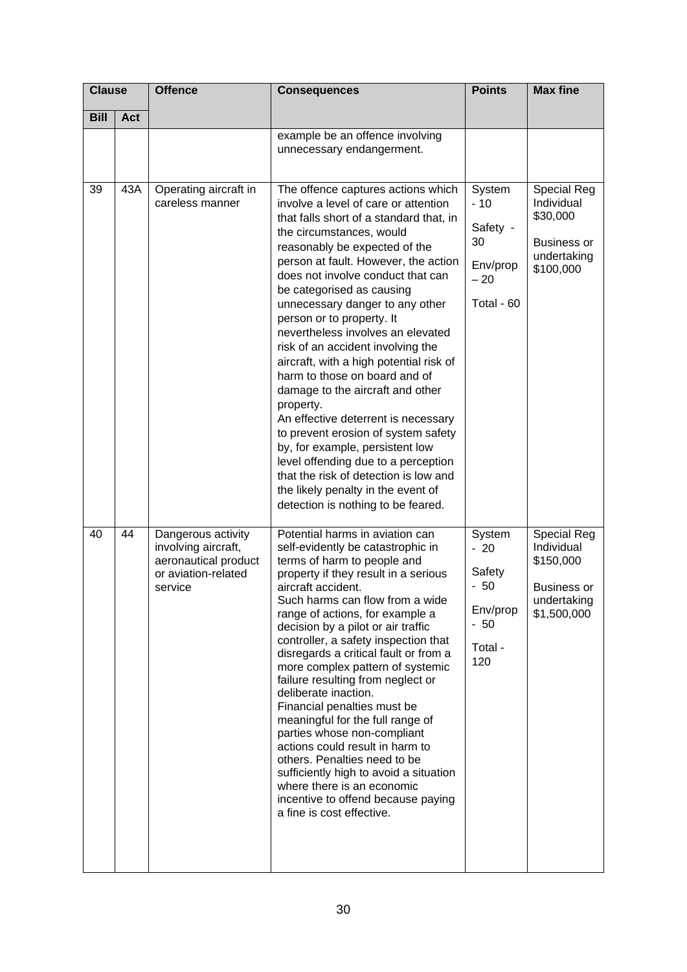| <b>Clause</b> |     | <b>Offence</b>                                                                                      | <b>Consequences</b>                                                                                                                                                                                                                                                                                                                                                                                                                                                                                                                                                                                                                                                                                                                                                                                                                              | <b>Points</b>                                                             | <b>Max fine</b>                                                                                |
|---------------|-----|-----------------------------------------------------------------------------------------------------|--------------------------------------------------------------------------------------------------------------------------------------------------------------------------------------------------------------------------------------------------------------------------------------------------------------------------------------------------------------------------------------------------------------------------------------------------------------------------------------------------------------------------------------------------------------------------------------------------------------------------------------------------------------------------------------------------------------------------------------------------------------------------------------------------------------------------------------------------|---------------------------------------------------------------------------|------------------------------------------------------------------------------------------------|
| <b>Bill</b>   | Act |                                                                                                     |                                                                                                                                                                                                                                                                                                                                                                                                                                                                                                                                                                                                                                                                                                                                                                                                                                                  |                                                                           |                                                                                                |
|               |     |                                                                                                     | example be an offence involving<br>unnecessary endangerment.                                                                                                                                                                                                                                                                                                                                                                                                                                                                                                                                                                                                                                                                                                                                                                                     |                                                                           |                                                                                                |
| 39            | 43A | Operating aircraft in<br>careless manner                                                            | The offence captures actions which<br>involve a level of care or attention<br>that falls short of a standard that, in<br>the circumstances, would<br>reasonably be expected of the<br>person at fault. However, the action<br>does not involve conduct that can<br>be categorised as causing<br>unnecessary danger to any other<br>person or to property. It<br>nevertheless involves an elevated<br>risk of an accident involving the<br>aircraft, with a high potential risk of<br>harm to those on board and of<br>damage to the aircraft and other<br>property.<br>An effective deterrent is necessary<br>to prevent erosion of system safety<br>by, for example, persistent low<br>level offending due to a perception<br>that the risk of detection is low and<br>the likely penalty in the event of<br>detection is nothing to be feared. | System<br>$-10$<br>Safety -<br>30<br>Env/prop<br>$-20$<br>Total - 60      | <b>Special Reg</b><br>Individual<br>\$30,000<br><b>Business or</b><br>undertaking<br>\$100,000 |
| 40            | 44  | Dangerous activity<br>involving aircraft,<br>aeronautical product<br>or aviation-related<br>service | Potential harms in aviation can<br>self-evidently be catastrophic in<br>terms of harm to people and<br>property if they result in a serious<br>aircraft accident.<br>Such harms can flow from a wide<br>range of actions, for example a<br>decision by a pilot or air traffic<br>controller, a safety inspection that<br>disregards a critical fault or from a<br>more complex pattern of systemic<br>failure resulting from neglect or<br>deliberate inaction.<br>Financial penalties must be<br>meaningful for the full range of<br>parties whose non-compliant<br>actions could result in harm to<br>others. Penalties need to be<br>sufficiently high to avoid a situation<br>where there is an economic<br>incentive to offend because paying<br>a fine is cost effective.                                                                  | System<br>$-20$<br>Safety<br>$-50$<br>Env/prop<br>$-50$<br>Total -<br>120 | <b>Special Reg</b><br>Individual<br>\$150,000<br>Business or<br>undertaking<br>\$1,500,000     |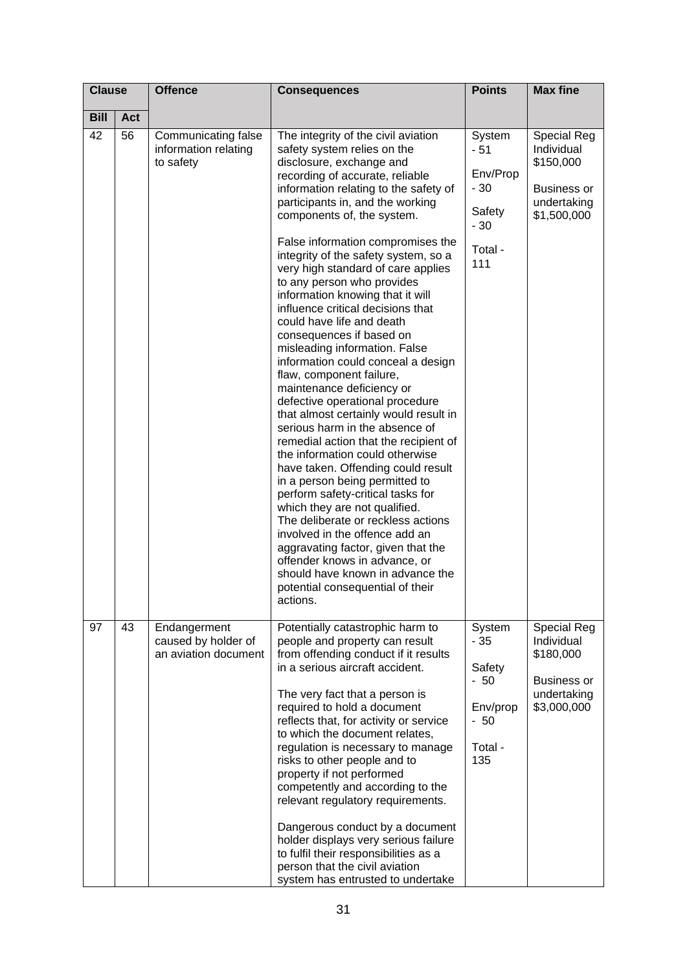| <b>Clause</b> |     | <b>Offence</b>                                              | <b>Consequences</b>                                                                                                                                                                                                                                                                                                                                                                                                                                                                                                                                                                                                                                                                                                                                                                                                                                                                                                                                                                                                                                                                                                                                                                                                                        | <b>Points</b>                                                             | <b>Max fine</b>                                                                                   |
|---------------|-----|-------------------------------------------------------------|--------------------------------------------------------------------------------------------------------------------------------------------------------------------------------------------------------------------------------------------------------------------------------------------------------------------------------------------------------------------------------------------------------------------------------------------------------------------------------------------------------------------------------------------------------------------------------------------------------------------------------------------------------------------------------------------------------------------------------------------------------------------------------------------------------------------------------------------------------------------------------------------------------------------------------------------------------------------------------------------------------------------------------------------------------------------------------------------------------------------------------------------------------------------------------------------------------------------------------------------|---------------------------------------------------------------------------|---------------------------------------------------------------------------------------------------|
| <b>Bill</b>   | Act |                                                             |                                                                                                                                                                                                                                                                                                                                                                                                                                                                                                                                                                                                                                                                                                                                                                                                                                                                                                                                                                                                                                                                                                                                                                                                                                            |                                                                           |                                                                                                   |
| 42            | 56  | Communicating false<br>information relating<br>to safety    | The integrity of the civil aviation<br>safety system relies on the<br>disclosure, exchange and<br>recording of accurate, reliable<br>information relating to the safety of<br>participants in, and the working<br>components of, the system.<br>False information compromises the<br>integrity of the safety system, so a<br>very high standard of care applies<br>to any person who provides<br>information knowing that it will<br>influence critical decisions that<br>could have life and death<br>consequences if based on<br>misleading information. False<br>information could conceal a design<br>flaw, component failure,<br>maintenance deficiency or<br>defective operational procedure<br>that almost certainly would result in<br>serious harm in the absence of<br>remedial action that the recipient of<br>the information could otherwise<br>have taken. Offending could result<br>in a person being permitted to<br>perform safety-critical tasks for<br>which they are not qualified.<br>The deliberate or reckless actions<br>involved in the offence add an<br>aggravating factor, given that the<br>offender knows in advance, or<br>should have known in advance the<br>potential consequential of their<br>actions. | System<br>- 51<br>Env/Prop<br>$-30$<br>Safety<br>$-30$<br>Total -<br>111  | <b>Special Reg</b><br>Individual<br>\$150,000<br><b>Business or</b><br>undertaking<br>\$1,500,000 |
| 97            | 43  | Endangerment<br>caused by holder of<br>an aviation document | Potentially catastrophic harm to<br>people and property can result<br>from offending conduct if it results<br>in a serious aircraft accident.<br>The very fact that a person is<br>required to hold a document<br>reflects that, for activity or service<br>to which the document relates,<br>regulation is necessary to manage<br>risks to other people and to<br>property if not performed<br>competently and according to the<br>relevant regulatory requirements.<br>Dangerous conduct by a document<br>holder displays very serious failure<br>to fulfil their responsibilities as a<br>person that the civil aviation<br>system has entrusted to undertake                                                                                                                                                                                                                                                                                                                                                                                                                                                                                                                                                                           | System<br>$-35$<br>Safety<br>$-50$<br>Env/prop<br>$-50$<br>Total -<br>135 | <b>Special Reg</b><br>Individual<br>\$180,000<br><b>Business or</b><br>undertaking<br>\$3,000,000 |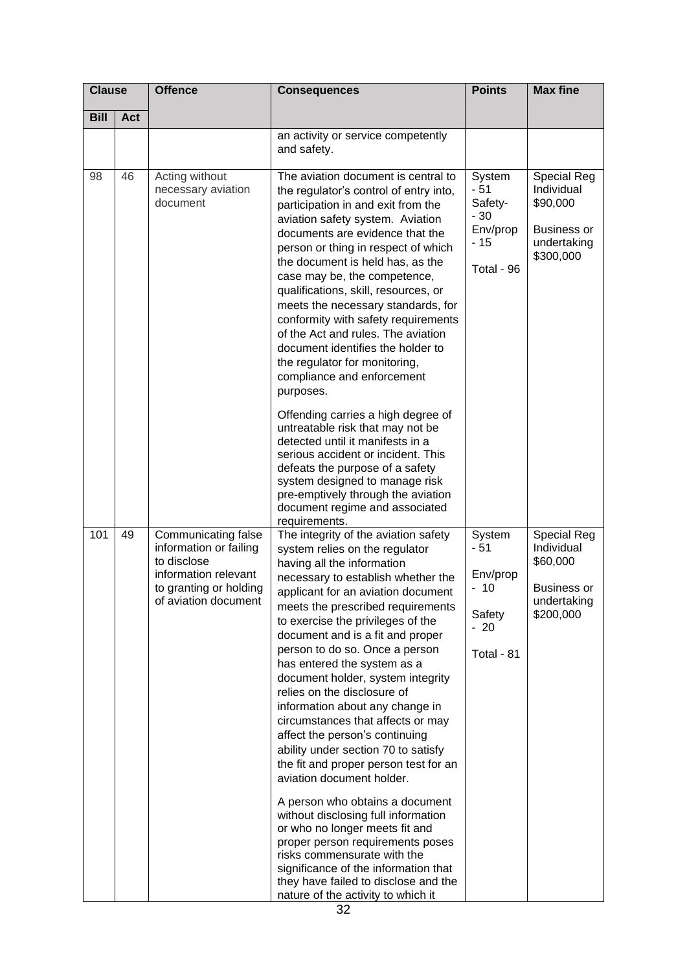| <b>Clause</b> |            | <b>Offence</b>                                                                                                                         | <b>Consequences</b>                                                                                                                                                                                                                                                                                                                                                                                                                                                                                                                                                                                                                                                                                                                                                                                                                                                                                                                                             | <b>Points</b>                                                         | <b>Max fine</b>                                                                                |
|---------------|------------|----------------------------------------------------------------------------------------------------------------------------------------|-----------------------------------------------------------------------------------------------------------------------------------------------------------------------------------------------------------------------------------------------------------------------------------------------------------------------------------------------------------------------------------------------------------------------------------------------------------------------------------------------------------------------------------------------------------------------------------------------------------------------------------------------------------------------------------------------------------------------------------------------------------------------------------------------------------------------------------------------------------------------------------------------------------------------------------------------------------------|-----------------------------------------------------------------------|------------------------------------------------------------------------------------------------|
| <b>Bill</b>   | <b>Act</b> |                                                                                                                                        |                                                                                                                                                                                                                                                                                                                                                                                                                                                                                                                                                                                                                                                                                                                                                                                                                                                                                                                                                                 |                                                                       |                                                                                                |
|               |            |                                                                                                                                        | an activity or service competently<br>and safety.                                                                                                                                                                                                                                                                                                                                                                                                                                                                                                                                                                                                                                                                                                                                                                                                                                                                                                               |                                                                       |                                                                                                |
| 98            | 46         | Acting without<br>necessary aviation<br>document                                                                                       | The aviation document is central to<br>the regulator's control of entry into,<br>participation in and exit from the<br>aviation safety system. Aviation<br>documents are evidence that the<br>person or thing in respect of which<br>the document is held has, as the<br>case may be, the competence,<br>qualifications, skill, resources, or<br>meets the necessary standards, for<br>conformity with safety requirements<br>of the Act and rules. The aviation<br>document identifies the holder to<br>the regulator for monitoring,<br>compliance and enforcement<br>purposes.<br>Offending carries a high degree of<br>untreatable risk that may not be                                                                                                                                                                                                                                                                                                     | System<br>- 51<br>Safety-<br>$-30$<br>Env/prop<br>- 15<br>Total - 96  | <b>Special Reg</b><br>Individual<br>\$90,000<br><b>Business or</b><br>undertaking<br>\$300,000 |
|               |            |                                                                                                                                        | detected until it manifests in a<br>serious accident or incident. This<br>defeats the purpose of a safety<br>system designed to manage risk<br>pre-emptively through the aviation<br>document regime and associated<br>requirements.                                                                                                                                                                                                                                                                                                                                                                                                                                                                                                                                                                                                                                                                                                                            |                                                                       |                                                                                                |
| 101           | 49         | Communicating false<br>information or failing<br>to disclose<br>information relevant<br>to granting or holding<br>of aviation document | The integrity of the aviation safety<br>system relies on the regulator<br>having all the information<br>necessary to establish whether the<br>applicant for an aviation document<br>meets the prescribed requirements<br>to exercise the privileges of the<br>document and is a fit and proper<br>person to do so. Once a person<br>has entered the system as a<br>document holder, system integrity<br>relies on the disclosure of<br>information about any change in<br>circumstances that affects or may<br>affect the person's continuing<br>ability under section 70 to satisfy<br>the fit and proper person test for an<br>aviation document holder.<br>A person who obtains a document<br>without disclosing full information<br>or who no longer meets fit and<br>proper person requirements poses<br>risks commensurate with the<br>significance of the information that<br>they have failed to disclose and the<br>nature of the activity to which it | System<br>$-51$<br>Env/prop<br>$-10$<br>Safety<br>$-20$<br>Total - 81 | <b>Special Reg</b><br>Individual<br>\$60,000<br><b>Business or</b><br>undertaking<br>\$200,000 |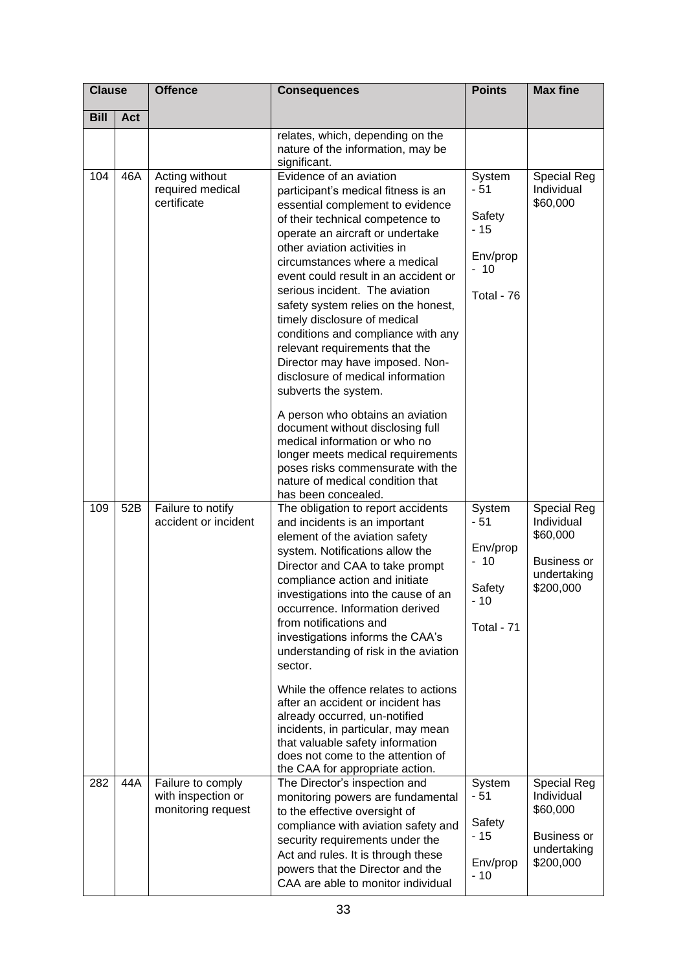| <b>Clause</b> |     | <b>Offence</b>                                                | <b>Consequences</b>                                                                                                                                                                                                                                                                                                                                                                                                                                                                                                                                                                                      | <b>Points</b>                                                         | <b>Max fine</b>                                                                                |
|---------------|-----|---------------------------------------------------------------|----------------------------------------------------------------------------------------------------------------------------------------------------------------------------------------------------------------------------------------------------------------------------------------------------------------------------------------------------------------------------------------------------------------------------------------------------------------------------------------------------------------------------------------------------------------------------------------------------------|-----------------------------------------------------------------------|------------------------------------------------------------------------------------------------|
| <b>Bill</b>   | Act |                                                               |                                                                                                                                                                                                                                                                                                                                                                                                                                                                                                                                                                                                          |                                                                       |                                                                                                |
|               |     |                                                               | relates, which, depending on the<br>nature of the information, may be<br>significant.                                                                                                                                                                                                                                                                                                                                                                                                                                                                                                                    |                                                                       |                                                                                                |
| 104           | 46A | Acting without<br>required medical<br>certificate             | Evidence of an aviation<br>participant's medical fitness is an<br>essential complement to evidence<br>of their technical competence to<br>operate an aircraft or undertake<br>other aviation activities in<br>circumstances where a medical<br>event could result in an accident or<br>serious incident. The aviation<br>safety system relies on the honest,<br>timely disclosure of medical<br>conditions and compliance with any<br>relevant requirements that the<br>Director may have imposed. Non-<br>disclosure of medical information<br>subverts the system.<br>A person who obtains an aviation | System<br>$-51$<br>Safety<br>- 15<br>Env/prop<br>$-10$<br>Total - 76  | <b>Special Reg</b><br>Individual<br>\$60,000                                                   |
|               |     |                                                               | document without disclosing full<br>medical information or who no<br>longer meets medical requirements<br>poses risks commensurate with the<br>nature of medical condition that<br>has been concealed.                                                                                                                                                                                                                                                                                                                                                                                                   |                                                                       |                                                                                                |
| 109           | 52B | Failure to notify<br>accident or incident                     | The obligation to report accidents<br>and incidents is an important<br>element of the aviation safety<br>system. Notifications allow the<br>Director and CAA to take prompt<br>compliance action and initiate<br>investigations into the cause of an<br>occurrence. Information derived<br>from notifications and<br>investigations informs the CAA's<br>understanding of risk in the aviation<br>sector.                                                                                                                                                                                                | System<br>$-51$<br>Env/prop<br>$-10$<br>Safety<br>$-10$<br>Total - 71 | Special Reg<br>Individual<br>\$60,000<br><b>Business or</b><br>undertaking<br>\$200,000        |
|               |     |                                                               | While the offence relates to actions<br>after an accident or incident has<br>already occurred, un-notified<br>incidents, in particular, may mean<br>that valuable safety information<br>does not come to the attention of<br>the CAA for appropriate action.                                                                                                                                                                                                                                                                                                                                             |                                                                       |                                                                                                |
| 282           | 44A | Failure to comply<br>with inspection or<br>monitoring request | The Director's inspection and<br>monitoring powers are fundamental<br>to the effective oversight of<br>compliance with aviation safety and<br>security requirements under the<br>Act and rules. It is through these<br>powers that the Director and the<br>CAA are able to monitor individual                                                                                                                                                                                                                                                                                                            | System<br>- 51<br>Safety<br>$-15$<br>Env/prop<br>$-10$                | <b>Special Reg</b><br>Individual<br>\$60,000<br><b>Business or</b><br>undertaking<br>\$200,000 |